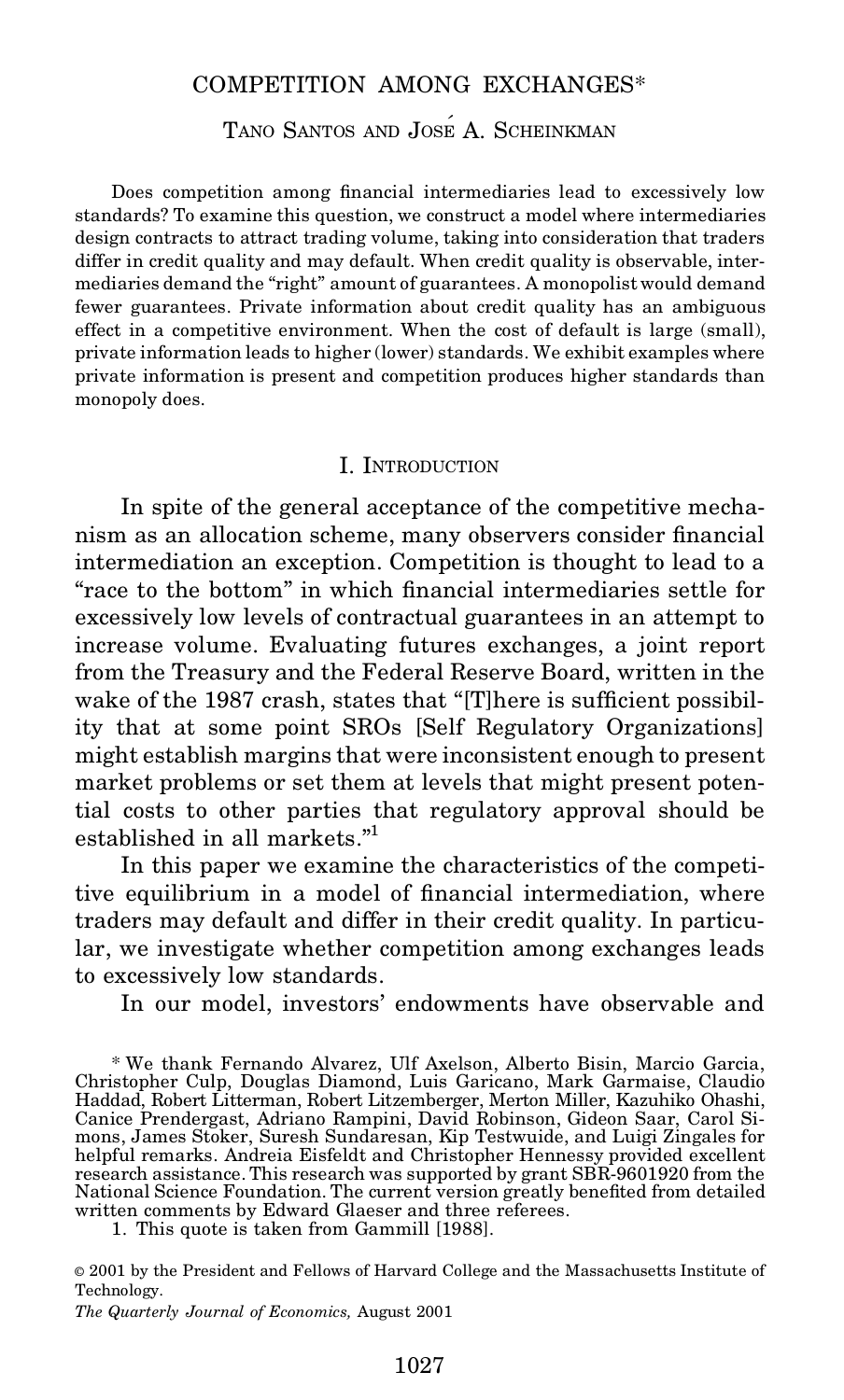# COMPETITION AMONG EXCHANGES\*

TANO SANTOS AND JOSE´ A. SCHEINKMAN

Does competition among financial intermediaries lead to excessively low standards? To examine this question, we construct a model where intermediaries design contracts to attract trading volume, taking into consideration that traders differ in credit quality and may default. When credit quality is observable, intermediaries demand the "right" amount of guarantees. A monopolist would demand fewer guarantees. Private information about credit quality has an ambiguous effect in a competitive environment. When the cost of default is large (small), private information leads to higher (lower) standards. We exhibit examples where private information is present and competition produces higher standards than monopoly does.

## I. INTRODUCTION

In spite of the general acceptance of the competitive mechanism as an allocation scheme, many observers consider financial intermediation an exception. Competition is thought to lead to a "race to the bottom" in which financial intermediaries settle for excessively low levels of contractual guarantees in an attempt to increase volume. Evaluating futures exchanges, a joint report from the Treasury and the Federal Reserve Board, written in the wake of the 1987 crash, states that "[T]here is sufficient possibility that at some point SROs [Self Regulatory Organizations] might establish margins that were inconsistent enough to present market problems or set them at levels that might present potential costs to other parties that regulatory approval should be established in all markets."<sup>1</sup>

In this paper we examine the characteristics of the competitive equilibrium in a model of financial intermediation, where traders may default and differ in their credit quality. In particular, we investigate whether competition among exchanges leads to excessively low standards.

In our model, investors' endowments have observable and

\* We thank Fernando Alvarez, Ulf Axelson, Alberto Bisin, Marcio Garcia, Christopher Culp, Douglas Diamond, Luis Garicano, Mark Garmaise, Claudio Haddad, Robert Litterman, Robert Litzemberger, Merton Miller, Kazuhiko Ohashi, Canice Prendergast, Adriano Rampini, David Robinson, Gideon Saar, Carol Simons, James Stoker, Suresh Sundaresan, Kip Testwuide, and Luigi Zingales for helpful remarks. Andreia Eisfeldt and Christopher Hennessy provided excellent research assistance. This research was supported by grant SBR-9601920 from the National Science Foundation. The current version greatly beneted from detailed written comments by Edward Glaeser and three referees.

1. This quote is taken from Gammill [1988].

© 2001 by the President and Fellows of Harvard College and the Massachusetts Institute of Technology.

*The Quarterly Journal of Economics,* August 2001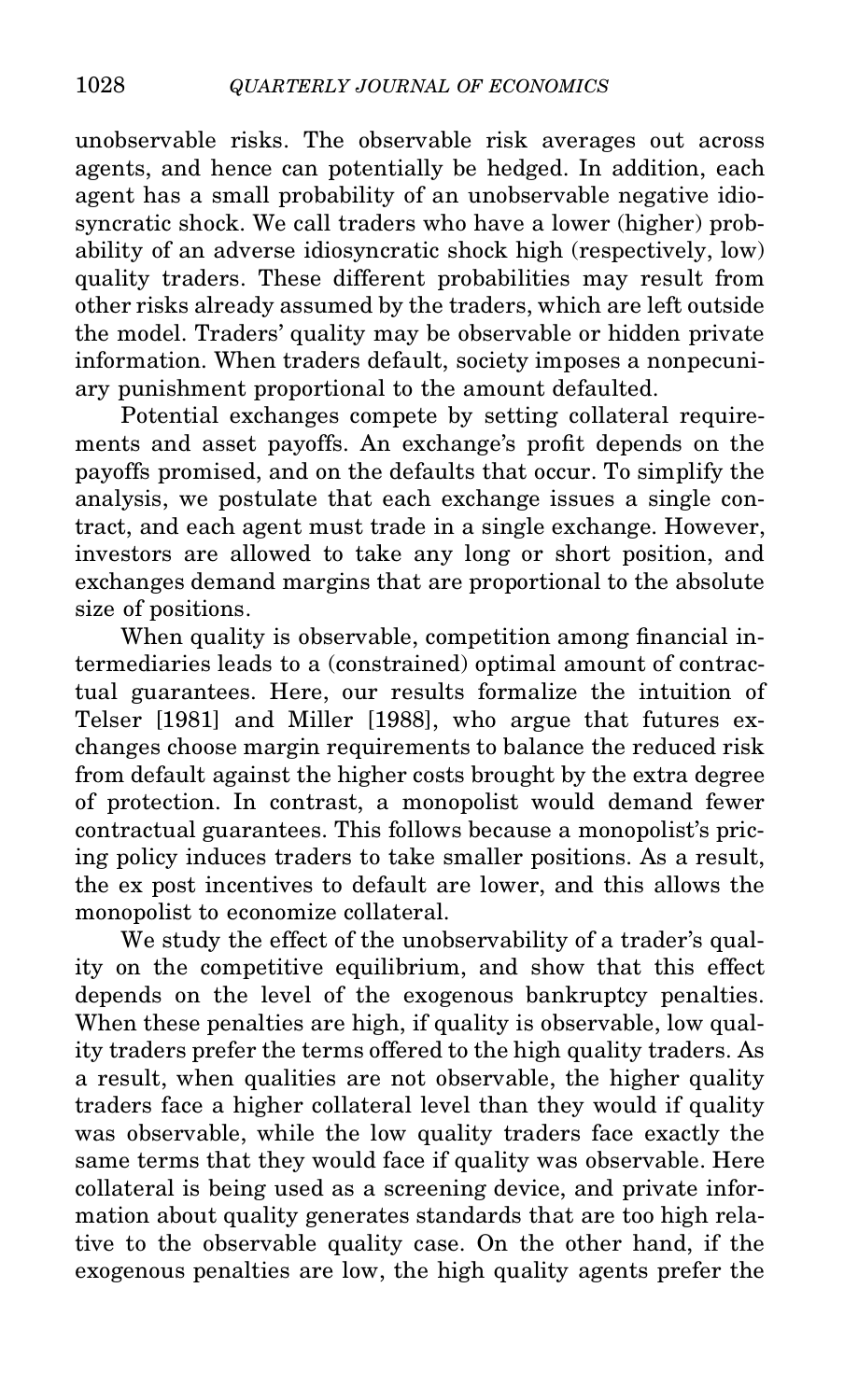unobservable risks. The observable risk averages out across agents, and hence can potentially be hedged. In addition, each agent has a small probability of an unobservable negative idiosyncratic shock. We call traders who have a lower (higher) probability of an adverse idiosyncratic shock high (respectively, low) quality traders. These different probabilities may result from other risks already assumed by the traders, which are left outside the model. Traders' quality may be observable or hidden private information. When traders default, society imposes a nonpecuniary punishment proportional to the amount defaulted.

Potential exchanges compete by setting collateral requirements and asset payoffs. An exchange's profit depends on the payoffs promised, and on the defaults that occur. To simplify the analysis, we postulate that each exchange issues a single contract, and each agent must trade in a single exchange. However, investors are allowed to take any long or short position, and exchanges demand margins that are proportional to the absolute size of positions.

When quality is observable, competition among financial intermediaries leads to a (constrained) optimal amount of contractual guarantees. Here, our results formalize the intuition of Telser [1981] and Miller [1988], who argue that futures exchanges choose margin requirements to balance the reduced risk from default against the higher costs brought by the extra degree of protection. In contrast, a monopolist would demand fewer contractual guarantees. This follows because a monopolist's pricing policy induces traders to take smaller positions. As a result, the ex post incentives to default are lower, and this allows the monopolist to economize collateral.

We study the effect of the unobservability of a trader's quality on the competitive equilibrium, and show that this effect depends on the level of the exogenous bankruptcy penalties. When these penalties are high, if quality is observable, low quality traders prefer the terms offered to the high quality traders. As a result, when qualities are not observable, the higher quality traders face a higher collateral level than they would if quality was observable, while the low quality traders face exactly the same terms that they would face if quality was observable. Here collateral is being used as a screening device, and private information about quality generates standards that are too high relative to the observable quality case. On the other hand, if the exogenous penalties are low, the high quality agents prefer the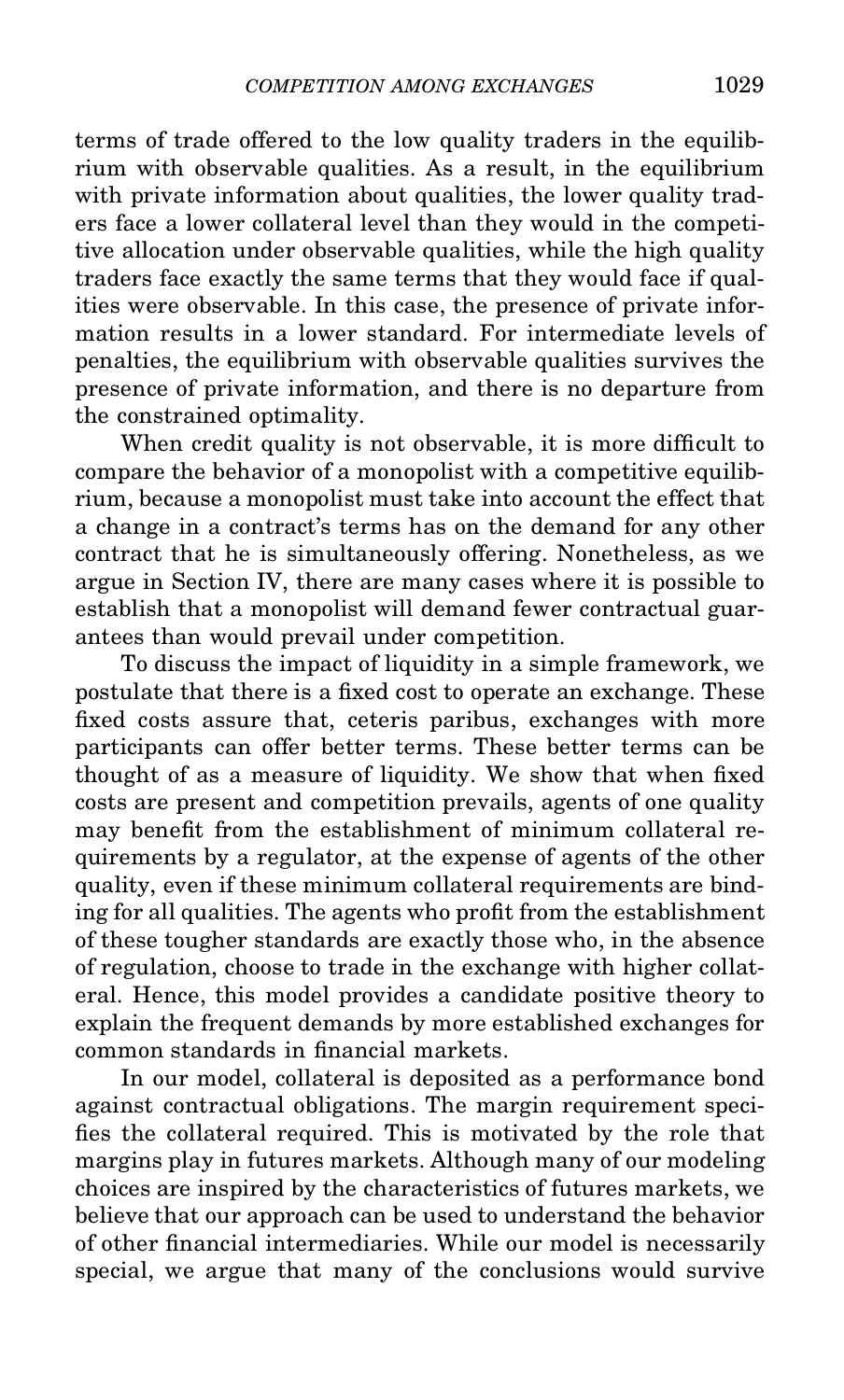terms of trade offered to the low quality traders in the equilibrium with observable qualities. As a result, in the equilibrium with private information about qualities, the lower quality traders face a lower collateral level than they would in the competitive allocation under observable qualities, while the high quality traders face exactly the same terms that they would face if qualities were observable. In this case, the presence of private information results in a lower standard. For intermediate levels of penalties, the equilibrium with observable qualities survives the presence of private information, and there is no departure from the constrained optimality.

When credit quality is not observable, it is more difficult to compare the behavior of a monopolist with a competitive equilibrium, because a monopolist must take into account the effect that a change in a contract's terms has on the demand for any other contract that he is simultaneously offering. Nonetheless, as we argue in Section IV, there are many cases where it is possible to establish that a monopolist will demand fewer contractual guarantees than would prevail under competition.

To discuss the impact of liquidity in a simple framework, we postulate that there is a fixed cost to operate an exchange. These fixed costs assure that, ceteris paribus, exchanges with more participants can offer better terms. These better terms can be thought of as a measure of liquidity. We show that when fixed costs are present and competition prevails, agents of one quality may benefit from the establishment of minimum collateral requirements by a regulator, at the expense of agents of the other quality, even if these minimum collateral requirements are binding for all qualities. The agents who profit from the establishment of these tougher standards are exactly those who, in the absence of regulation, choose to trade in the exchange with higher collateral. Hence, this model provides a candidate positive theory to explain the frequent demands by more established exchanges for common standards in financial markets

In our model, collateral is deposited as a performance bond against contractual obligations. The margin requirement speci fies the collateral required. This is motivated by the role that margins play in futures markets. Although many of our modeling choices are inspired by the characteristics of futures markets, we believe that our approach can be used to understand the behavior of other financial intermediaries. While our model is necessarily special, we argue that many of the conclusions would survive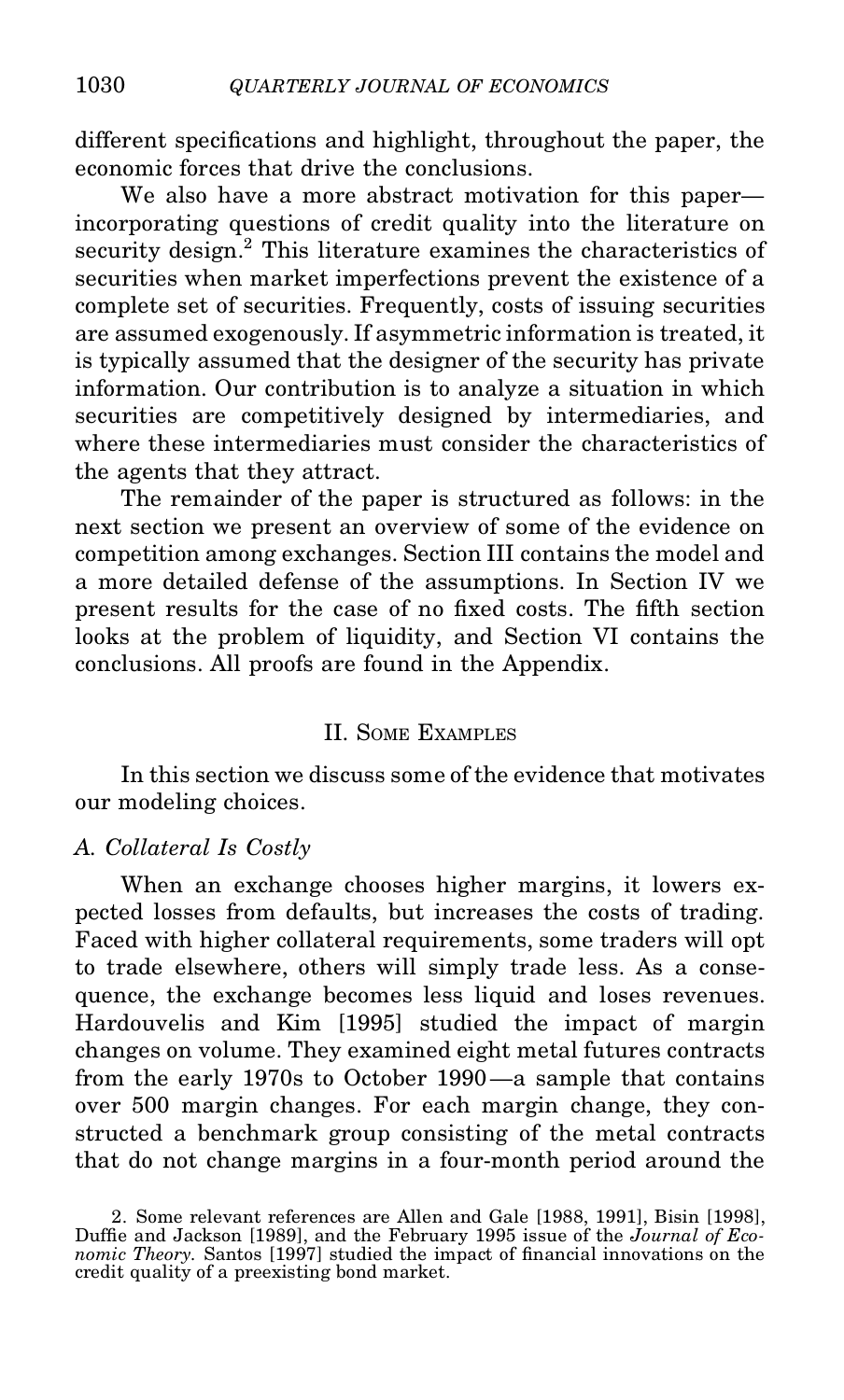different specifications and highlight, throughout the paper, the economic forces that drive the conclusions.

We also have a more abstract motivation for this paper incorporating questions of credit quality into the literature on security design.<sup>2</sup> This literature examines the characteristics of securities when market imperfections prevent the existence of a complete set of securities. Frequently, costs of issuing securities are assumed exogenously. If asymmetric information is treated, it is typically assumed that the designer of the security has private information. Our contribution is to analyze a situation in which securities are competitively designed by intermediaries, and where these intermediaries must consider the characteristics of the agents that they attract.

The remainder of the paper is structured as follows: in the next section we present an overview of some of the evidence on competition among exchanges. Section III contains the model and a more detailed defense of the assumptions. In Section IV we present results for the case of no fixed costs. The fifth section looks at the problem of liquidity, and Section VI contains the conclusions. All proofs are found in the Appendix.

## II. SOME EXAMPLES

In this section we discuss some of the evidence that motivates our modeling choices.

## *A. Collateral Is Costly*

When an exchange chooses higher margins, it lowers expected losses from defaults, but increases the costs of trading. Faced with higher collateral requirements, some traders will opt to trade elsewhere, others will simply trade less. As a consequence, the exchange becomes less liquid and loses revenues. Hardouvelis and Kim [1995] studied the impact of margin changes on volume. They examined eight metal futures contracts from the early 1970s to October 1990—a sample that contains over 500 margin changes. For each margin change, they constructed a benchmark group consisting of the metal contracts that do not change margins in a four-month period around the

<sup>2.</sup> Some relevant references are Allen and Gale [1988, 1991], Bisin [1998], Duffie and Jackson [1989], and the February 1995 issue of the *Journal of Economic Theory.* Santos [1997] studied the impact of financial innovations on the credit quality of a preexisting bond market.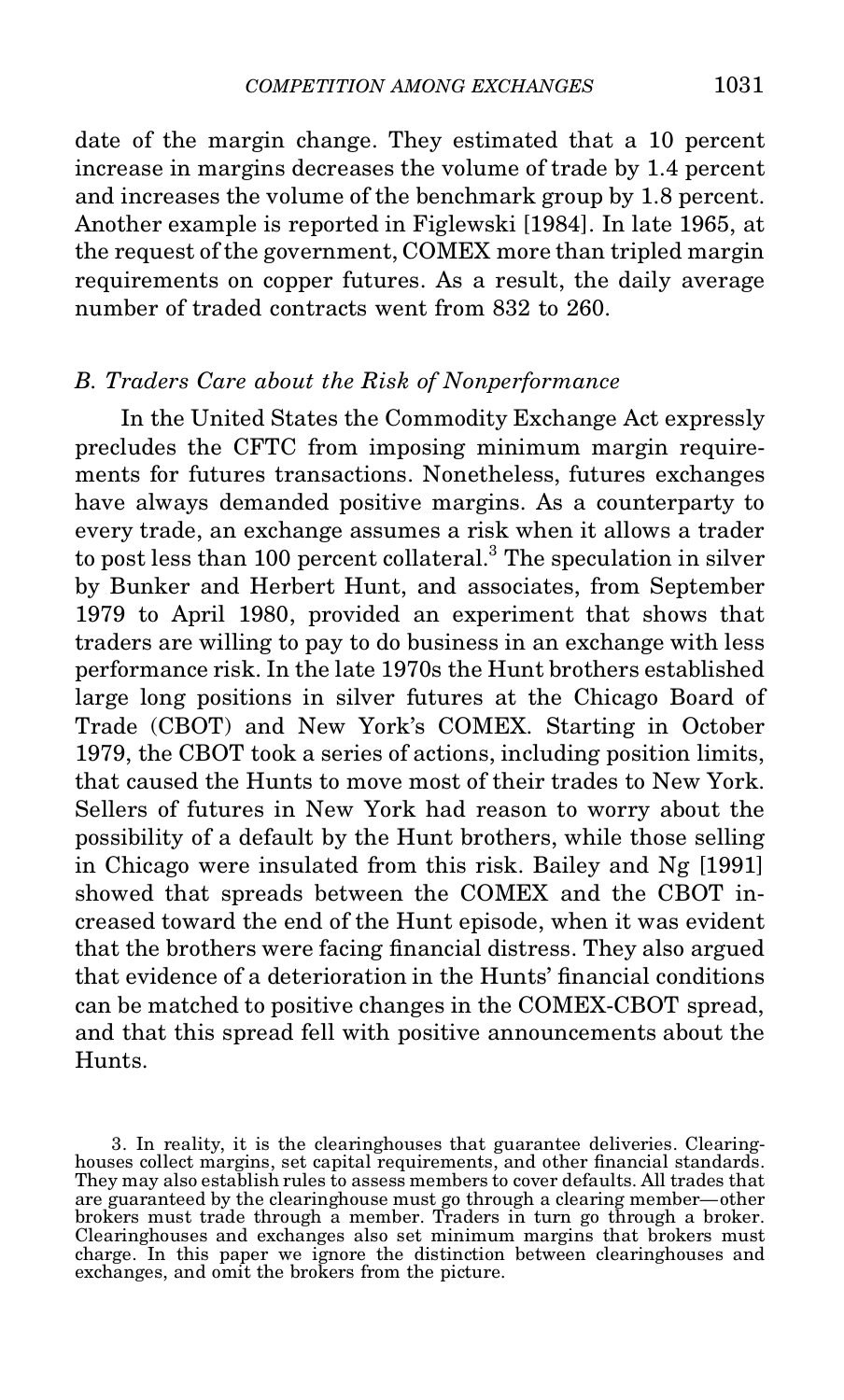date of the margin change. They estimated that a 10 percent increase in margins decreases the volume of trade by 1.4 percent and increases the volume of the benchmark group by 1.8 percent. Another example is reported in Figlewski [1984]. In late 1965, at the request of the government, COMEX more than tripled margin requirements on copper futures. As a result, the daily average number of traded contracts went from 832 to 260.

## *B. Traders Care about the Risk of Nonperformance*

In the United States the Commodity Exchange Act expressly precludes the CFTC from imposing minimum margin requirements for futures transactions. Nonetheless, futures exchanges have always demanded positive margins. As a counterparty to every trade, an exchange assumes a risk when it allows a trader to post less than 100 percent collateral.<sup>3</sup> The speculation in silver by Bunker and Herbert Hunt, and associates, from September 1979 to April 1980, provided an experiment that shows that traders are willing to pay to do business in an exchange with less performance risk. In the late 1970s the Hunt brothers established large long positions in silver futures at the Chicago Board of Trade (CBOT) and New York's COMEX. Starting in October 1979, the CBOT took a series of actions, including position limits, that caused the Hunts to move most of their trades to New York. Sellers of futures in New York had reason to worry about the possibility of a default by the Hunt brothers, while those selling in Chicago were insulated from this risk. Bailey and Ng [1991] showed that spreads between the COMEX and the CBOT increased toward the end of the Hunt episode, when it was evident that the brothers were facing financial distress. They also argued that evidence of a deterioration in the Hunts' financial conditions can be matched to positive changes in the COMEX-CBOT spread, and that this spread fell with positive announcements about the Hunts.

<sup>3.</sup> In reality, it is the clearinghouses that guarantee deliveries. Clearinghouses collect margins, set capital requirements, and other financial standards. They may also establish rules to assess members to cover defaults. All trades that are guaranteed by the clearinghouse must go through a clearing member—other brokers must trade through a member. Traders in turn go through a broker. Clearinghouses and exchanges also set minimum margins that brokers must charge. In this paper we ignore the distinction between clearinghouses and exchanges, and omit the brokers from the picture.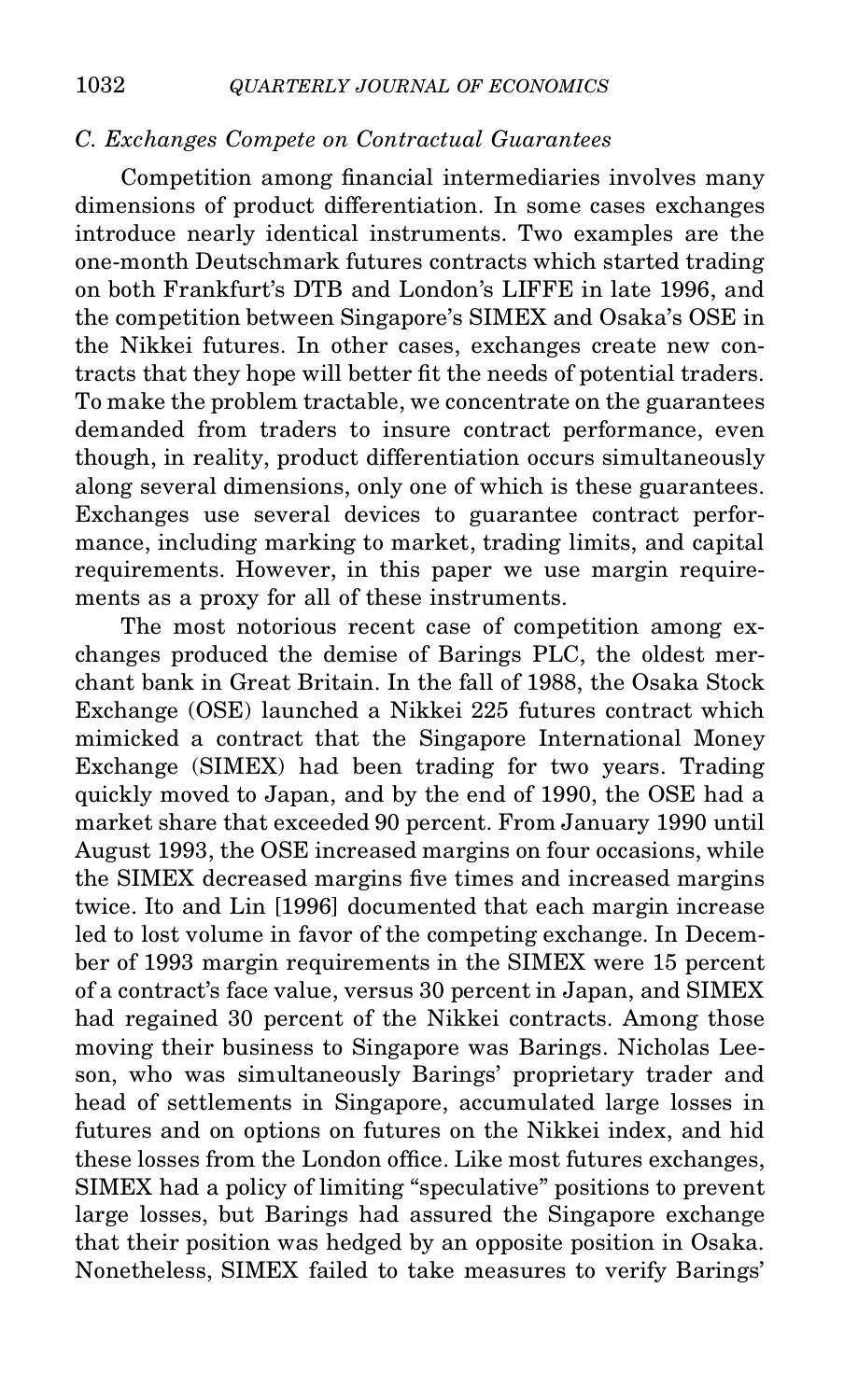## *C. Exchanges Compete on Contractual Guarantees*

Competition among financial intermediaries involves many dimensions of product differentiation. In some cases exchanges introduce nearly identical instruments. Two examples are the one-month Deutschmark futures contracts which started trading on both Frankfurt's DTB and London's LIFFE in late 1996, and the competition between Singapore's SIMEX and Osaka's OSE in the Nikkei futures. In other cases, exchanges create new contracts that they hope will better fit the needs of potential traders. To make the problem tractable, we concentrate on the guarantees demanded from traders to insure contract performance, even though, in reality, product differentiation occurs simultaneously along several dimensions, only one of which is these guarantees. Exchanges use several devices to guarantee contract performance, including marking to market, trading limits, and capital requirements. However, in this paper we use margin requirements as a proxy for all of these instruments.

The most notorious recent case of competition among exchanges produced the demise of Barings PLC, the oldest merchant bank in Great Britain. In the fall of 1988, the Osaka Stock Exchange (OSE) launched a Nikkei 225 futures contract which mimicked a contract that the Singapore International Money Exchange (SIMEX) had been trading for two years. Trading quickly moved to Japan, and by the end of 1990, the OSE had a market share that exceeded 90 percent. From January 1990 until August 1993, the OSE increased margins on four occasions, while the SIMEX decreased margins five times and increased margins twice. Ito and Lin [1996] documented that each margin increase led to lost volume in favor of the competing exchange. In December of 1993 margin requirements in the SIMEX were 15 percent of a contract's face value, versus 30 percent in Japan, and SIMEX had regained 30 percent of the Nikkei contracts. Among those moving their business to Singapore was Barings. Nicholas Leeson, who was simultaneously Barings' proprietary trader and head of settlements in Singapore, accumulated large losses in futures and on options on futures on the Nikkei index, and hid these losses from the London office. Like most futures exchanges, SIMEX had a policy of limiting "speculative" positions to prevent large losses, but Barings had assured the Singapore exchange that their position was hedged by an opposite position in Osaka. Nonetheless, SIMEX failed to take measures to verify Barings'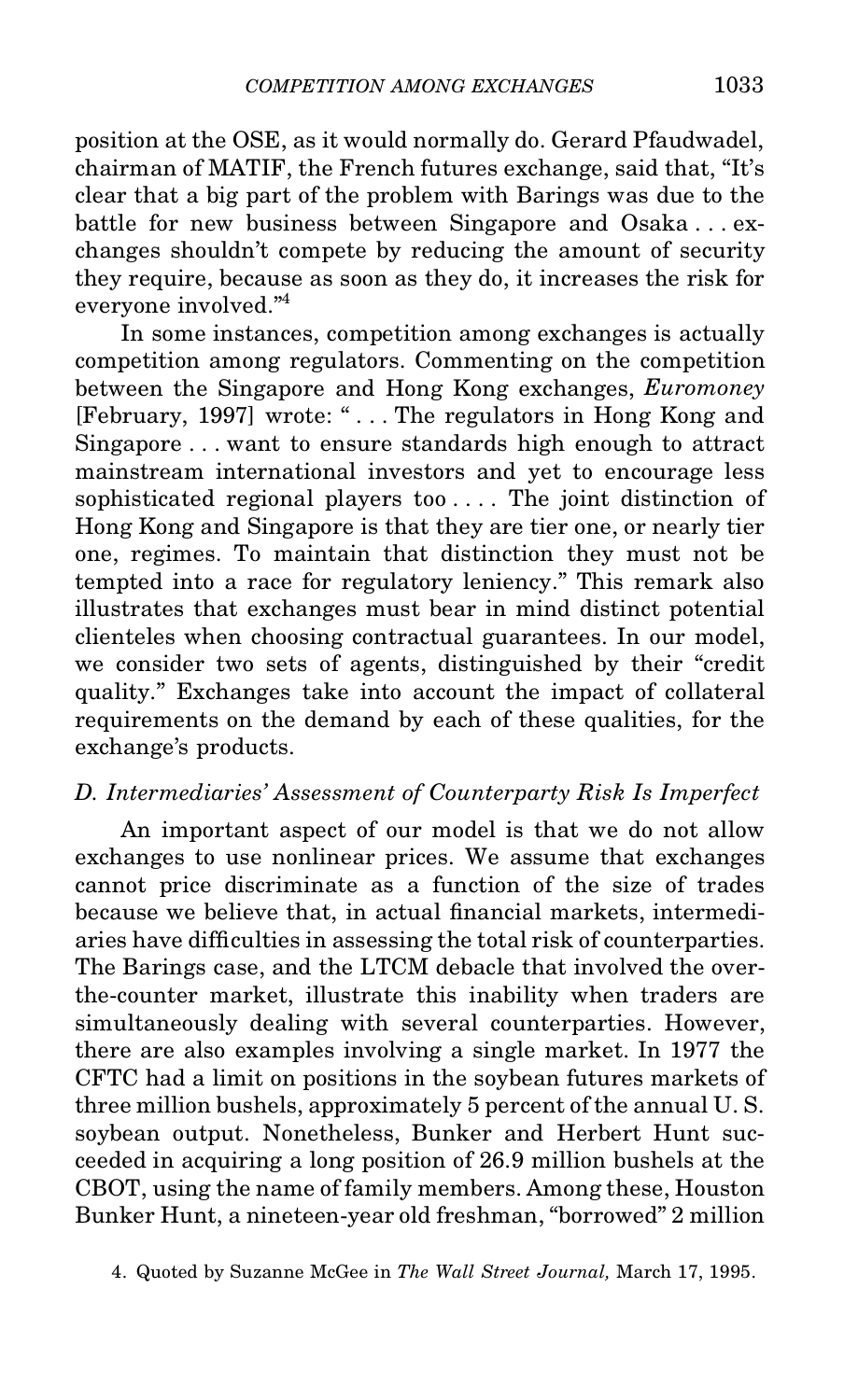position at the OSE, as it would normally do. Gerard Pfaudwadel, chairman of MATIF, the French futures exchange, said that, "It's clear that a big part of the problem with Barings was due to the battle for new business between Singapore and Osaka . . . exchanges shouldn't compete by reducing the amount of security they require, because as soon as they do, it increases the risk for everyone involved."<sup>4</sup>

In some instances, competition among exchanges is actually competition among regulators. Commenting on the competition between the Singapore and Hong Kong exchanges, *Euromoney* [February, 1997] wrote: " . . . The regulators in Hong Kong and Singapore . . . want to ensure standards high enough to attract mainstream international investors and yet to encourage less sophisticated regional players too .... The joint distinction of Hong Kong and Singapore is that they are tier one, or nearly tier one, regimes. To maintain that distinction they must not be tempted into a race for regulatory leniency." This remark also illustrates that exchanges must bear in mind distinct potential clienteles when choosing contractual guarantees. In our model, we consider two sets of agents, distinguished by their "credit quality." Exchanges take into account the impact of collateral requirements on the demand by each of these qualities, for the exchange's products.

# *D. Intermediaries' Assessment of Counterparty Risk Is Imperfect*

An important aspect of our model is that we do not allow exchanges to use nonlinear prices. We assume that exchanges cannot price discriminate as a function of the size of trades because we believe that, in actual financial markets, intermediaries have difculties in assessing the total risk of counterparties. The Barings case, and the LTCM debacle that involved the overthe-counter market, illustrate this inability when traders are simultaneously dealing with several counterparties. However, there are also examples involving a single market. In 1977 the CFTC had a limit on positions in the soybean futures markets of three million bushels, approximately 5 percent of the annual U. S. soybean output. Nonetheless, Bunker and Herbert Hunt succeeded in acquiring a long position of 26.9 million bushels at the CBOT, using the name of family members. Among these, Houston Bunker Hunt, a nineteen-year old freshman, "borrowed" 2 million

<sup>4.</sup> Quoted by Suzanne McGee in *The Wall Street Journal,* March 17, 1995.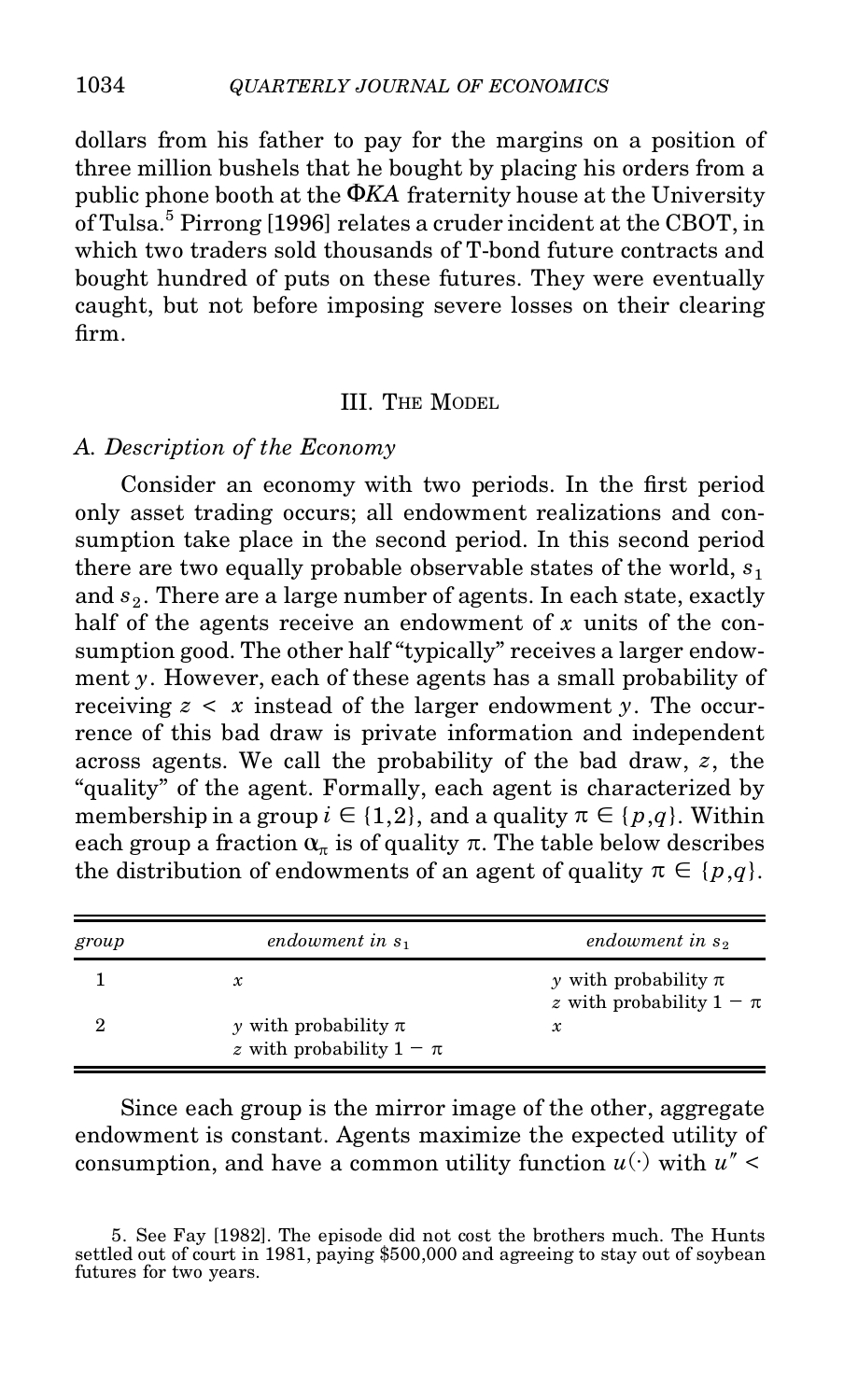dollars from his father to pay for the margins on a position of three million bushels that he bought by placing his orders from a public phone booth at the  $\Phi K$ *A* fraternity house at the University of Tulsa.<sup>5</sup> Pirrong [1996] relates a cruder incident at the CBOT, in which two traders sold thousands of T-bond future contracts and bought hundred of puts on these futures. They were eventually caught, but not before imposing severe losses on their clearing firm

## III. THE MODEL

## *A. Description of the Economy*

Consider an economy with two periods. In the first period only asset trading occurs; all endowment realizations and consumption take place in the second period. In this second period there are two equally probable observable states of the world,  $s_1$ and  $s_{2}.$  There are a large number of agents. In each state, exactly half of the agents receive an endowment of *x* units of the consumption good. The other half "typically" receives a larger endowment *y*. However, each of these agents has a small probability of receiving  $z \leq x$  instead of the larger endowment  $\gamma$ . The occurrence of this bad draw is private information and independent across agents. We call the probability of the bad draw, *z*, the "quality" of the agent. Formally, each agent is characterized by membership in a group  $i \in \{1,2\}$ , and a quality  $\pi \in \{p,q\}$ . Within each group a fraction  $\alpha_\pi$  is of quality  $\pi.$  The table below describes the distribution of endowments of an agent of quality  $\pi \in \{p,q\}.$ 

| group | endowment in $s_1$                                       | endowment in $s_2$                                       |
|-------|----------------------------------------------------------|----------------------------------------------------------|
|       | $\boldsymbol{x}$                                         | y with probability $\pi$<br>z with probability $1 - \pi$ |
|       | y with probability $\pi$<br>z with probability $1 - \pi$ | $\boldsymbol{x}$                                         |

Since each group is the mirror image of the other, aggregate endowment is constant. Agents maximize the expected utility of consumption, and have a common utility function  $u(\cdot)$  with  $u''$  <

5. See Fay [1982]. The episode did not cost the brothers much. The Hunts settled out of court in 1981, paying \$500,000 and agreeing to stay out of soybean futures for two years.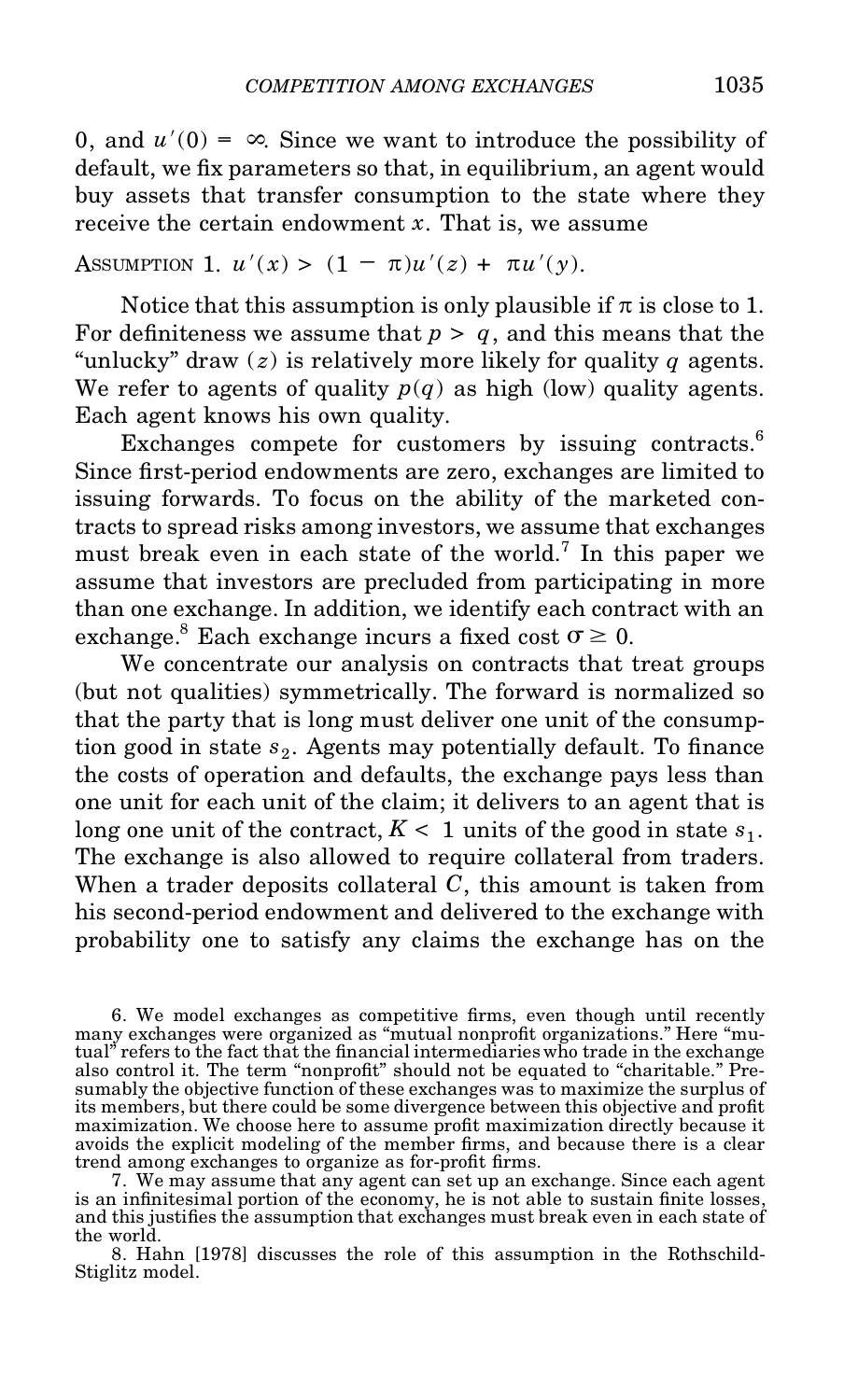0, and  $u'(0) = \infty$ . Since we want to introduce the possibility of default, we fix parameters so that, in equilibrium, an agent would buy assets that transfer consumption to the state where they receive the certain endowment *x*. That is, we assume

## ASSUMPTION 1.  $u'(x) > (1 - \pi)u'(z) + \pi u'(y)$ .

Notice that this assumption is only plausible if  $\pi$  is close to 1. For definiteness we assume that  $p > q$ , and this means that the "unlucky" draw  $(z)$  is relatively more likely for quality *q* agents. We refer to agents of quality  $p(q)$  as high (low) quality agents. Each agent knows his own quality.

Exchanges compete for customers by issuing contracts.<sup>6</sup> Since first-period endowments are zero, exchanges are limited to issuing forwards. To focus on the ability of the marketed contracts to spread risks among investors, we assume that exchanges must break even in each state of the world.<sup>7</sup> In this paper we assume that investors are precluded from participating in more than one exchange. In addition, we identify each contract with an exchange.<sup>8</sup> Each exchange incurs a fixed cost  $\sigma \ge 0$ .

We concentrate our analysis on contracts that treat groups (but not qualities) symmetrically. The forward is normalized so that the party that is long must deliver one unit of the consumption good in state  $s_2$ . Agents may potentially default. To finance the costs of operation and defaults, the exchange pays less than one unit for each unit of the claim; it delivers to an agent that is long one unit of the contract,  $K < 1$  units of the good in state  $s_1$ . The exchange is also allowed to require collateral from traders. When a trader deposits collateral *C*, this amount is taken from his second-period endowment and delivered to the exchange with probability one to satisfy any claims the exchange has on the

6. We model exchanges as competitive firms, even though until recently many exchanges were organized as "mutual nonprofit organizations." Here "mu-<br>tual" refers to the fact that the financial intermediaries who trade in the exchange also control it. The term "nonprofit" should not be equated to "charitable." Presumably the objective function of these exchanges was to maximize the surplus of its members, but there could be some divergence between this objective and profit maximization. We choose here to assume profit maximization directly because it avoids the explicit modeling of the member firms, and because there is a clear trend among exchanges to organize as for-profit firms.

7. We may assume that any agent can set up an exchange. Since each agent is an infinitesimal portion of the economy, he is not able to sustain finite losses, and this justifies the assumption that exchanges must break even in each state of the world.

8. Hahn [1978] discusses the role of this assumption in the Rothschild-Stiglitz model.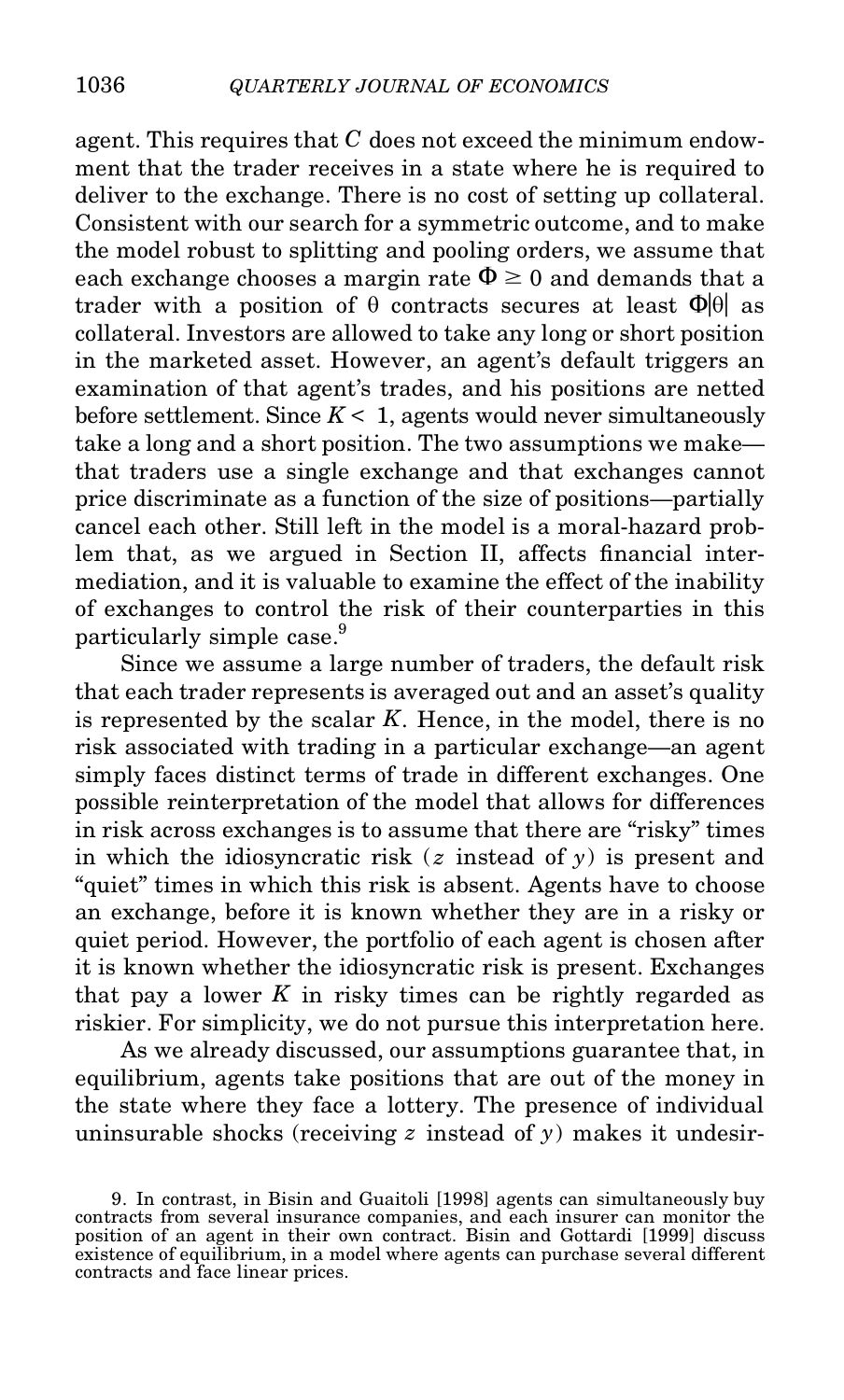agent. This requires that *C* does not exceed the minimum endowment that the trader receives in a state where he is required to deliver to the exchange. There is no cost of setting up collateral. Consistent with our search for a symmetric outcome, and to make the model robust to splitting and pooling orders, we assume that each exchange chooses a margin rate  $\Phi \geq 0$  and demands that a trader with a position of  $\theta$  contracts secures at least  $\Phi[\theta]$  as collateral. Investors are allowed to take any long or short position in the marketed asset. However, an agent's default triggers an examination of that agent's trades, and his positions are netted before settlement. Since  $K < 1$ , agents would never simultaneously take a long and a short position. The two assumptions we make that traders use a single exchange and that exchanges cannot price discriminate as a function of the size of positions—partially cancel each other. Still left in the model is a moral-hazard problem that, as we argued in Section II, affects financial intermediation, and it is valuable to examine the effect of the inability of exchanges to control the risk of their counterparties in this particularly simple case.<sup>9</sup>

Since we assume a large number of traders, the default risk that each trader represents is averaged out and an asset's quality is represented by the scalar *K*. Hence, in the model, there is no risk associated with trading in a particular exchange—an agent simply faces distinct terms of trade in different exchanges. One possible reinterpretation of the model that allows for differences in risk across exchanges is to assume that there are "risky" times in which the idiosyncratic risk (*z* instead of *y*) is present and "quiet" times in which this risk is absent. Agents have to choose an exchange, before it is known whether they are in a risky or quiet period. However, the portfolio of each agent is chosen after it is known whether the idiosyncratic risk is present. Exchanges that pay a lower  $K$  in risky times can be rightly regarded as riskier. For simplicity, we do not pursue this interpretation here.

As we already discussed, our assumptions guarantee that, in equilibrium, agents take positions that are out of the money in the state where they face a lottery. The presence of individual uninsurable shocks (receiving  $z$  instead of  $y$ ) makes it undesir-

<sup>9.</sup> In contrast, in Bisin and Guaitoli [1998] agents can simultaneously buy contracts from several insurance companies, and each insurer can monitor the position of an agent in their own contract. Bisin and Gottardi [1999] discuss existence of equilibrium, in a model where agents can purchase several different contracts and face linear prices.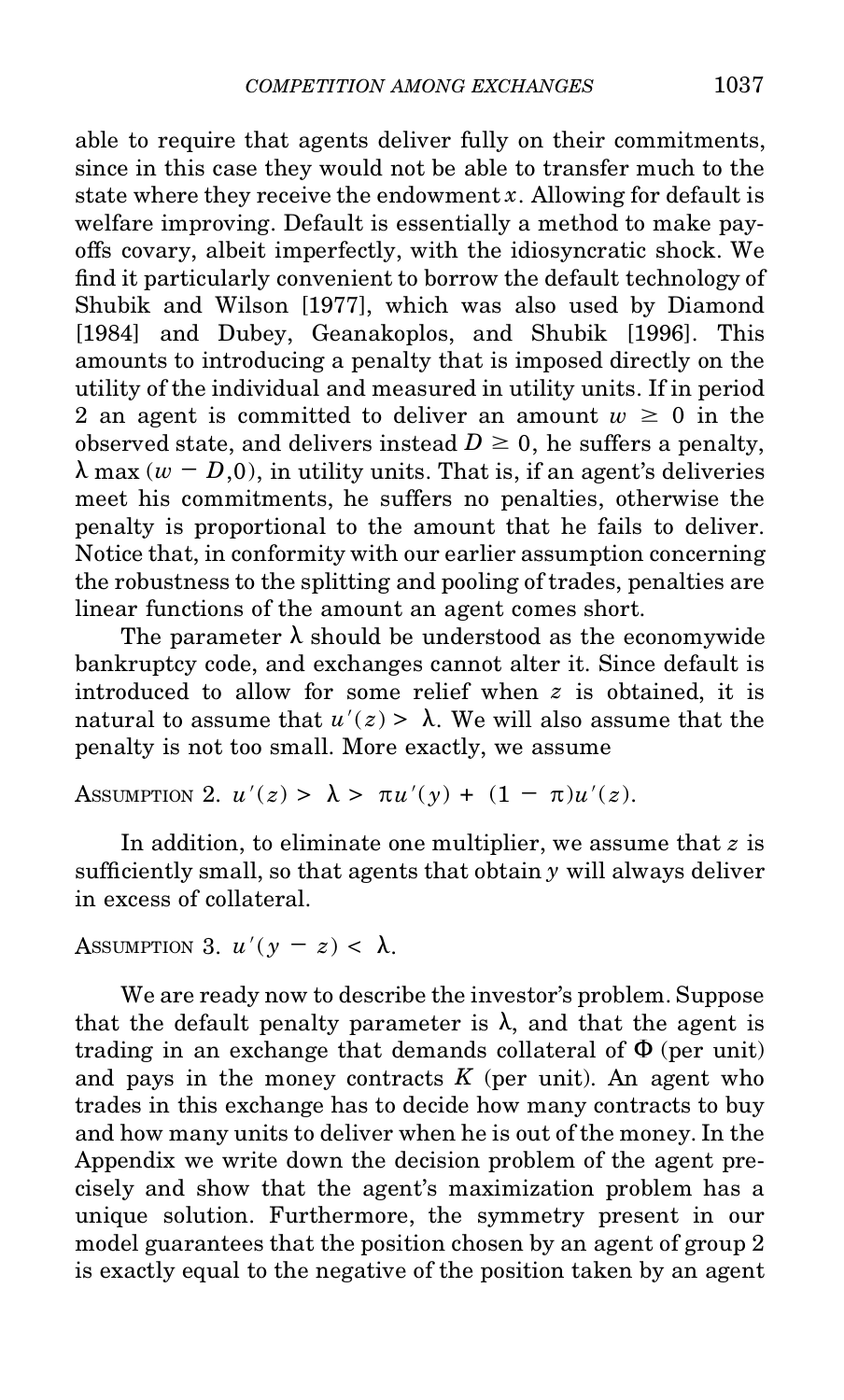able to require that agents deliver fully on their commitments, since in this case they would not be able to transfer much to the state where they receive the endowment *x*. Allowing for default is welfare improving. Default is essentially a method to make payoffs covary, albeit imperfectly, with the idiosyncratic shock. We find it particularly convenient to borrow the default technology of Shubik and Wilson [1977], which was also used by Diamond [1984] and Dubey, Geanakoplos, and Shubik [1996]. This amounts to introducing a penalty that is imposed directly on the utility of the individual and measured in utility units. If in period 2 an agent is committed to deliver an amount  $w \ge 0$  in the observed state, and delivers instead  $D \geq 0$ , he suffers a penalty,  $\lambda$  max ( $w$  – D,0), in utility units. That is, if an agent's deliveries meet his commitments, he suffers no penalties, otherwise the penalty is proportional to the amount that he fails to deliver. Notice that, in conformity with our earlier assumption concerning the robustness to the splitting and pooling of trades, penalties are linear functions of the amount an agent comes short.

The parameter  $\lambda$  should be understood as the economywide bankruptcy code, and exchanges cannot alter it. Since default is introduced to allow for some relief when *z* is obtained, it is natural to assume that  $u'(z) > \lambda$ . We will also assume that the penalty is not too small. More exactly, we assume

ASSUMPTION 2.  $u'(z) > \lambda > \pi u'(y) + (1 - \pi)u'(z)$ .

In addition, to eliminate one multiplier, we assume that *z* is sufficiently small, so that agents that obtain  $\gamma$  will always deliver in excess of collateral.

ASSUMPTION 3.  $u'(\gamma - z) < \lambda$ .

We are ready now to describe the investor's problem. Suppose that the default penalty parameter is  $\lambda$ , and that the agent is trading in an exchange that demands collateral of  $\Phi$  (per unit) and pays in the money contracts  $K$  (per unit). An agent who trades in this exchange has to decide how many contracts to buy and how many units to deliver when he is out of the money. In the Appendix we write down the decision problem of the agent precisely and show that the agent's maximization problem has a unique solution. Furthermore, the symmetry present in our model guarantees that the position chosen by an agent of group 2 is exactly equal to the negative of the position taken by an agent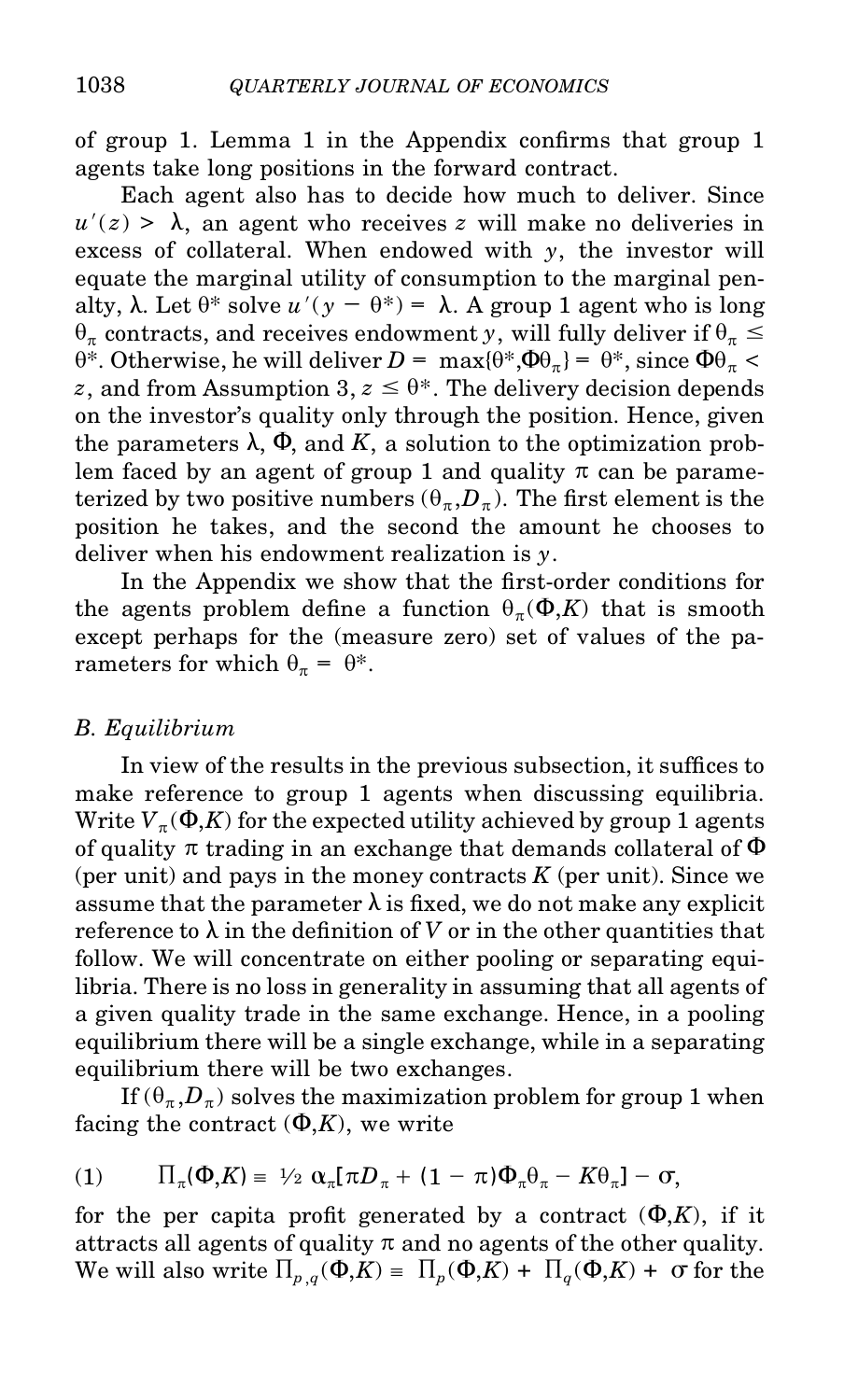of group 1. Lemma 1 in the Appendix confirms that group  $1$ agents take long positions in the forward contract.

Each agent also has to decide how much to deliver. Since  $u'(z) > \lambda$ , an agent who receives *z* will make no deliveries in excess of collateral. When endowed with *y*, the investor will equate the marginal utility of consumption to the marginal penalty,  $\lambda$ . Let  $\theta^*$  solve  $u'(y - \theta^*) = \lambda$ . A group 1 agent who is long  $\theta_{\pi}$  contracts, and receives endowment *y*, will fully deliver if  $\theta_{\pi} \leq$  $\theta^*$ . Otherwise, he will deliver  $D = \max{\lbrace \theta^*, \Phi \theta_\pi \rbrace} = \theta^*$ , since  $\Phi \theta_\pi < \theta$ *z*, and from Assumption 3,  $z \leq \theta^*$ . The delivery decision depends on the investor's quality only through the position. Hence, given the parameters  $\lambda$ ,  $\Phi$ , and *K*, a solution to the optimization problem faced by an agent of group 1 and quality  $\pi$  can be parameterized by two positive numbers  $(\theta_\pi, D_\pi)$ . The first element is the position he takes, and the second the amount he chooses to deliver when his endowment realization is *y*.

In the Appendix we show that the first-order conditions for the agents problem define a function  $\theta_{\pi}(\Phi,K)$  that is smooth except perhaps for the (measure zero) set of values of the parameters for which  $\theta_{\pi} = \theta^*$ .

### *B. Equilibrium*

In view of the results in the previous subsection, it suffices to make reference to group 1 agents when discussing equilibria. Write  $V_{\pi}(\Phi, K)$  for the expected utility achieved by group 1 agents of quality  $\pi$  trading in an exchange that demands collateral of  $\Phi$ (per unit) and pays in the money contracts  $K$  (per unit). Since we assume that the parameter  $\lambda$  is fixed, we do not make any explicit reference to  $\lambda$  in the definition of *V* or in the other quantities that follow. We will concentrate on either pooling or separating equilibria. There is no loss in generality in assuming that all agents of a given quality trade in the same exchange. Hence, in a pooling equilibrium there will be a single exchange, while in a separating equilibrium there will be two exchanges.

If  $(\theta_\pi,D_\pi)$  solves the maximization problem for group 1 when facing the contract  $(\Phi,K)$ , we write

$$
(1) \qquad \Pi_{\pi}(\Phi,K) \equiv \frac{1}{2} \alpha_{\pi}[\pi D_{\pi} + (1-\pi)\Phi_{\pi}\theta_{\pi} - K\theta_{\pi}] - \sigma,
$$

for the per capita profit generated by a contract  $(\Phi, K)$ , if it attracts all agents of quality  $\pi$  and no agents of the other quality. We will also write  $\Pi_{p,q}(\Phi,K) = \Pi_p(\Phi,K) + \Pi_q(\Phi,K) + \sigma$  for the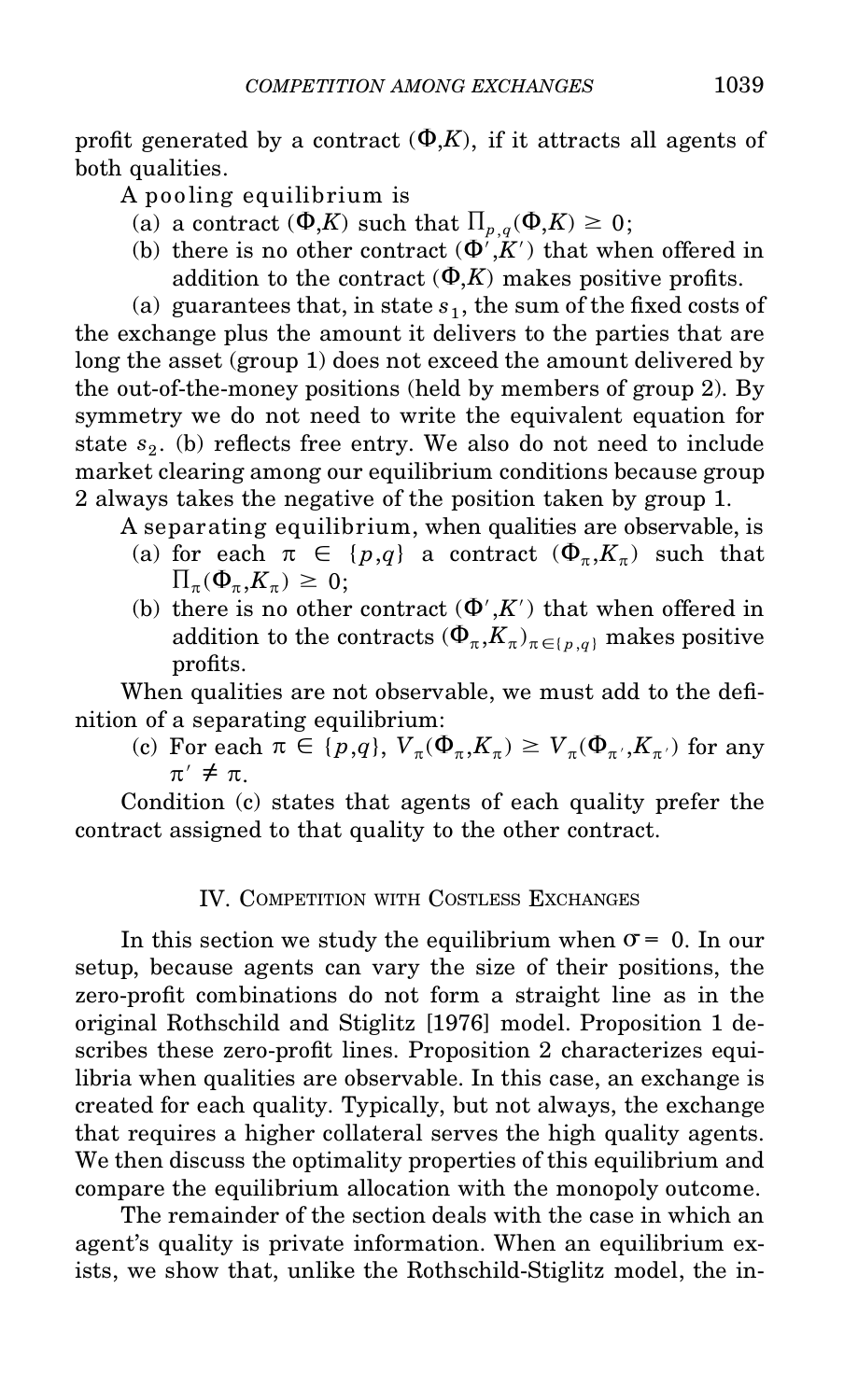profit generated by a contract  $(\Phi,K)$ , if it attracts all agents of both qualities.

A poo ling equilibrium is

- (a) a contract  $(\Phi, K)$  such that  $\Pi_{p,q}(\Phi, K) \geq 0$ ;
- (b) there is no other contract  $(\Phi', K')$  that when offered in addition to the contract  $(\Phi, K)$  makes positive profits.

(a) guarantees that, in state  $s_1$ , the sum of the fixed costs of the exchange plus the amount it delivers to the parties that are long the asset (group 1) does not exceed the amount delivered by the out-of-the-money positions (held by members of group 2). By symmetry we do not need to write the equivalent equation for state  $s_2$ . (b) reflects free entry. We also do not need to include market clearing among our equilibrium conditions because group 2 always takes the negative of the position taken by group 1.

A separating equilibrium, when qualities are observable, is

- (a) for each  $\pi \in \{p,q\}$  a contract  $(\Phi_{\pi}, K_{\pi})$  such that  $\Pi_{\pi}(\Phi_{\pi}, K_{\pi}) \geq 0;$
- (b) there is no other contract  $(\Phi', K')$  that when offered in addition to the contracts  $(\pmb{\Phi}_\pi,K_\pi)_{\pi \in \{p,q\}}$  makes positive profits.

When qualities are not observable, we must add to the definition of a separating equilibrium:

(c) For each  $\pi \in \{p,q\}$ ,  $V_{\pi}(\Phi_{\pi}, K_{\pi}) \geq V_{\pi}(\Phi_{\pi'}, K_{\pi'})$  for any  $\pi' \neq \pi$ 

Condition (c) states that agents of each quality prefer the contract assigned to that quality to the other contract.

## IV. COMPETITION WITH COSTLESS EXCHANGES

In this section we study the equilibrium when  $\sigma = 0$ . In our setup, because agents can vary the size of their positions, the zero-profit combinations do not form a straight line as in the original Rothschild and Stiglitz [1976] model. Proposition 1 describes these zero-profit lines. Proposition 2 characterizes equilibria when qualities are observable. In this case, an exchange is created for each quality. Typically, but not always, the exchange that requires a higher collateral serves the high quality agents. We then discuss the optimality properties of this equilibrium and compare the equilibrium allocation with the monopoly outcome.

The remainder of the section deals with the case in which an agent's quality is private information. When an equilibrium exists, we show that, unlike the Rothschild-Stiglitz model, the in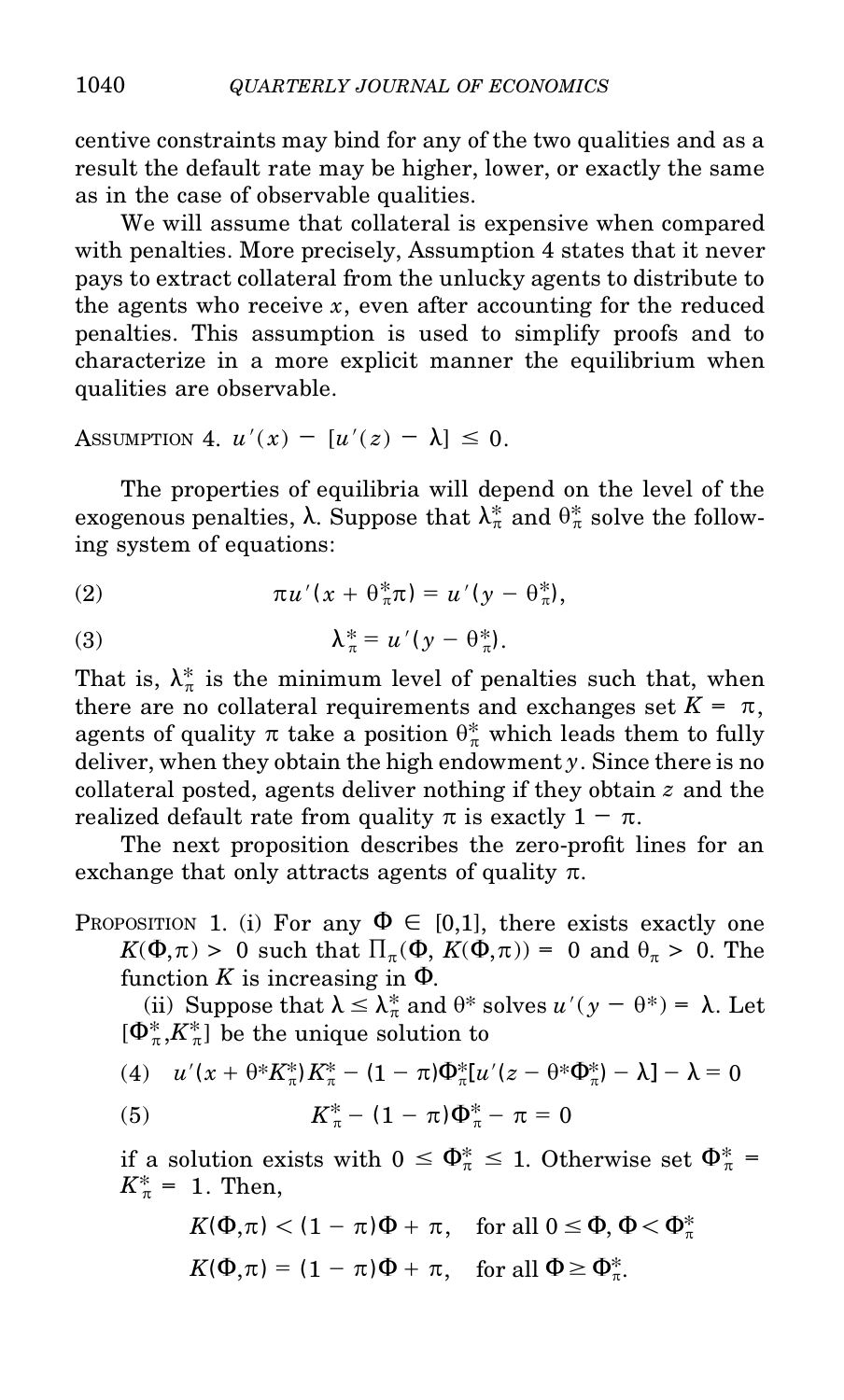1040 *QUARTERLY JOURNAL OF ECONOMICS*

centive constraints may bind for any of the two qualities and as a result the default rate may be higher, lower, or exactly the same as in the case of observable qualities.

We will assume that collateral is expensive when compared with penalties. More precisely, Assumption 4 states that it never pays to extract collateral from the unlucky agents to distribute to the agents who receive  $x$ , even after accounting for the reduced penalties. This assumption is used to simplify proofs and to characterize in a more explicit manner the equilibrium when qualities are observable.

ASSUMPTION 4.  $u'(x) - [u'(z) - \lambda] \leq 0$ .

The properties of equilibria will depend on the level of the exogenous penalties,  $\lambda$ . Suppose that  $\lambda^*_{\pi}$  and  $\theta^*_{\pi}$  solve the following system of equations:

(2) 
$$
\pi u'(x + \theta_{\pi}^* \pi) = u'(y - \theta_{\pi}^*),
$$

(3) 
$$
\lambda_{\pi}^* = u'(y - \theta_{\pi}^*).
$$

That is,  $\lambda_{\pi}^{*}$  is the minimum level of penalties such that, when there are no collateral requirements and exchanges set  $K = \pi$ , agents of quality  $\pi$  take a position  $\theta^*_{\pi}$  which leads them to fully deliver, when they obtain the high endowment *y*. Since there is no collateral posted, agents deliver nothing if they obtain *z* and the realized default rate from quality  $\pi$  is exactly  $1 - \pi$ .

The next proposition describes the zero-profit lines for an exchange that only attracts agents of quality  $\pi$ .

PROPOSITION 1. (i) For any  $\Phi \in [0,1]$ , there exists exactly one  $K(\Phi,\pi) > 0$  such that  $\Pi_{\pi}(\Phi, K(\Phi,\pi)) = 0$  and  $\theta_{\pi} > 0$ . The function  $K$  is increasing in  $\Phi$ .

(ii) Suppose that  $\lambda \leq \lambda_{\pi}^*$  and  $\theta^*$  solves  $u'(y - \theta^*) = \lambda$ . Let  $[\Phi^*_\pi, K^*_\pi]$  be the unique solution to

(4) 
$$
u'(x + \theta^* K_{\pi}^* ) K_{\pi}^* - (1 - \pi) \Phi_{\pi}^* [u'(z - \theta^* \Phi_{\pi}^* ) - \lambda] - \lambda = 0
$$

(5) 
$$
K_{\pi}^{*} - (1 - \pi) \Phi_{\pi}^{*} - \pi = 0
$$

if a solution exists with  $0 \leq \Phi_{\pi}^* \leq 1$ . Otherwise set  $\Phi_{\pi}^* =$  $K_{\pi}^{*} = 1$ . Then,

$$
K(\Phi, \pi) < (1 - \pi)\Phi + \pi, \quad \text{for all } 0 \leq \Phi, \Phi < \Phi_{\pi}^* \\
K(\Phi, \pi) = (1 - \pi)\Phi + \pi, \quad \text{for all } \Phi \geq \Phi_{\pi}^*.
$$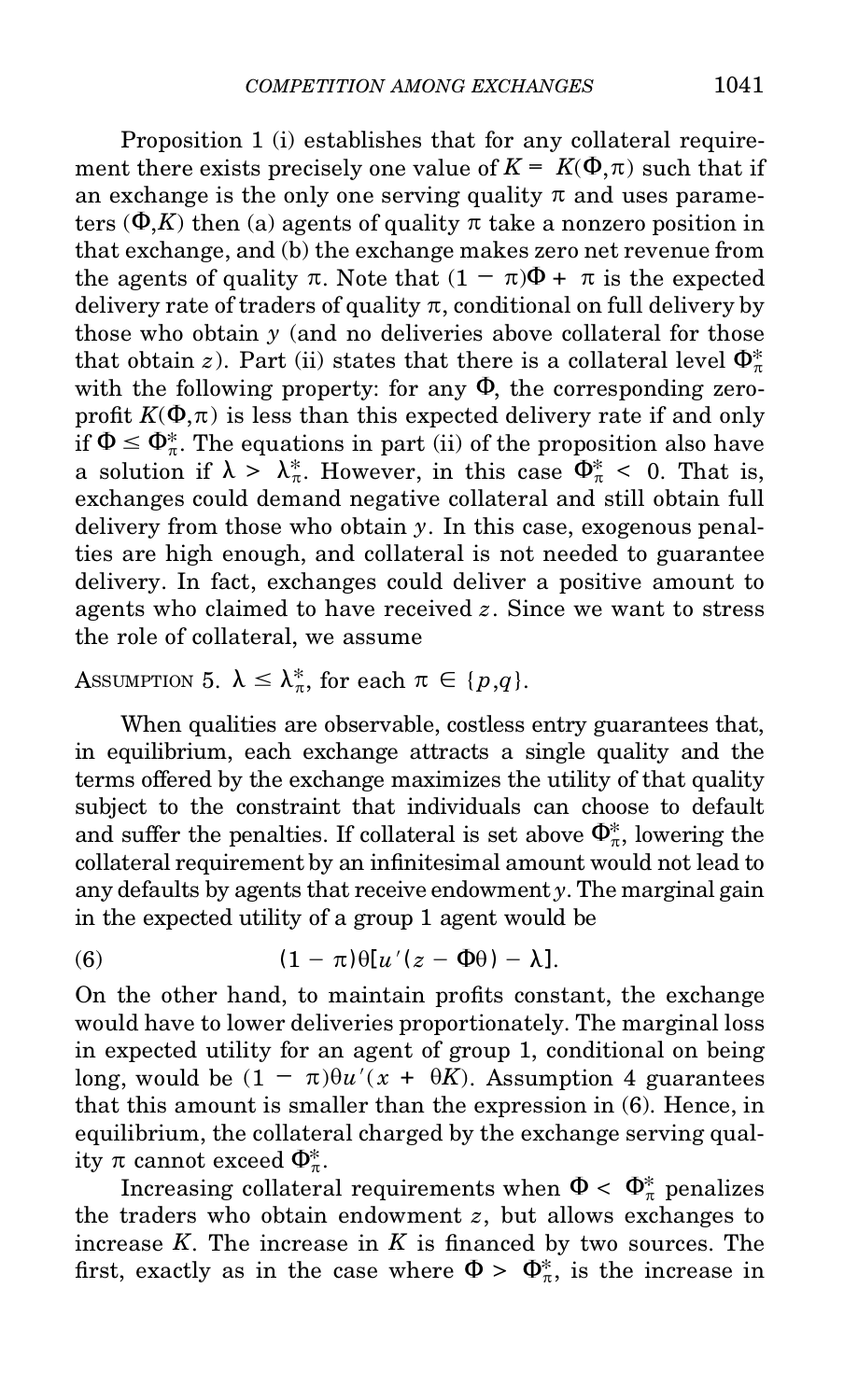Proposition 1 (i) establishes that for any collateral requirement there exists precisely one value of  $K = K(\Phi, \pi)$  such that if an exchange is the only one serving quality  $\pi$  and uses parameters  $(\Phi,K)$  then (a) agents of quality  $\pi$  take a nonzero position in that exchange, and (b) the exchange makes zero net revenue from the agents of quality  $\pi$ . Note that  $(1 - \pi)\Phi + \pi$  is the expected delivery rate of traders of quality  $\pi$ , conditional on full delivery by those who obtain *y* (and no deliveries above collateral for those that obtain *z*). Part (ii) states that there is a collateral level  $\Phi^*$ with the following property: for any  $\Phi$ , the corresponding zeroprofit  $K(\Phi,\pi)$  is less than this expected delivery rate if and only if  $\Phi \leq \Phi^*_\pi$ . The equations in part (ii) of the proposition also have a solution if  $\lambda > \lambda_{\pi}^*$ . However, in this case  $\Phi_{\pi}^* < 0$ . That is, exchanges could demand negative collateral and still obtain full delivery from those who obtain *y*. In this case, exogenous penalties are high enough, and collateral is not needed to guarantee delivery. In fact, exchanges could deliver a positive amount to agents who claimed to have received *z*. Since we want to stress the role of collateral, we assume

Assumption 5.  $\lambda \leq \lambda_{\pi}^{*}$ , for each  $\pi \in \{p,q\}.$ 

When qualities are observable, costless entry guarantees that, in equilibrium, each exchange attracts a single quality and the terms offered by the exchange maximizes the utility of that quality subject to the constraint that individuals can choose to default and suffer the penalties. If collateral is set above  $\Phi_{\pi}^*$ , lowering the collateral requirement by an infinitesimal amount would not lead to any defaults by agents that receive endowment *y*. The marginal gain in the expected utility of a group 1 agent would be

(6) 
$$
(1 - \pi)\theta[u'(z - \Phi\theta) - \lambda].
$$

On the other hand, to maintain profits constant, the exchange would have to lower deliveries proportionately. The marginal loss in expected utility for an agent of group 1, conditional on being long, would be  $(1 - \pi)\theta u'(x + \theta K)$ . Assumption 4 guarantees that this amount is smaller than the expression in (6). Hence, in equilibrium, the collateral charged by the exchange serving quality  $\pi$  cannot exceed  $\Phi^*_\pi.$ 

Increasing collateral requirements when  $\Phi < \Phi_{\pi}^*$  penalizes the traders who obtain endowment *z*, but allows exchanges to increase  $K$ . The increase in  $K$  is financed by two sources. The first, exactly as in the case where  $\Phi > \Phi_{\pi}^*$ , is the increase in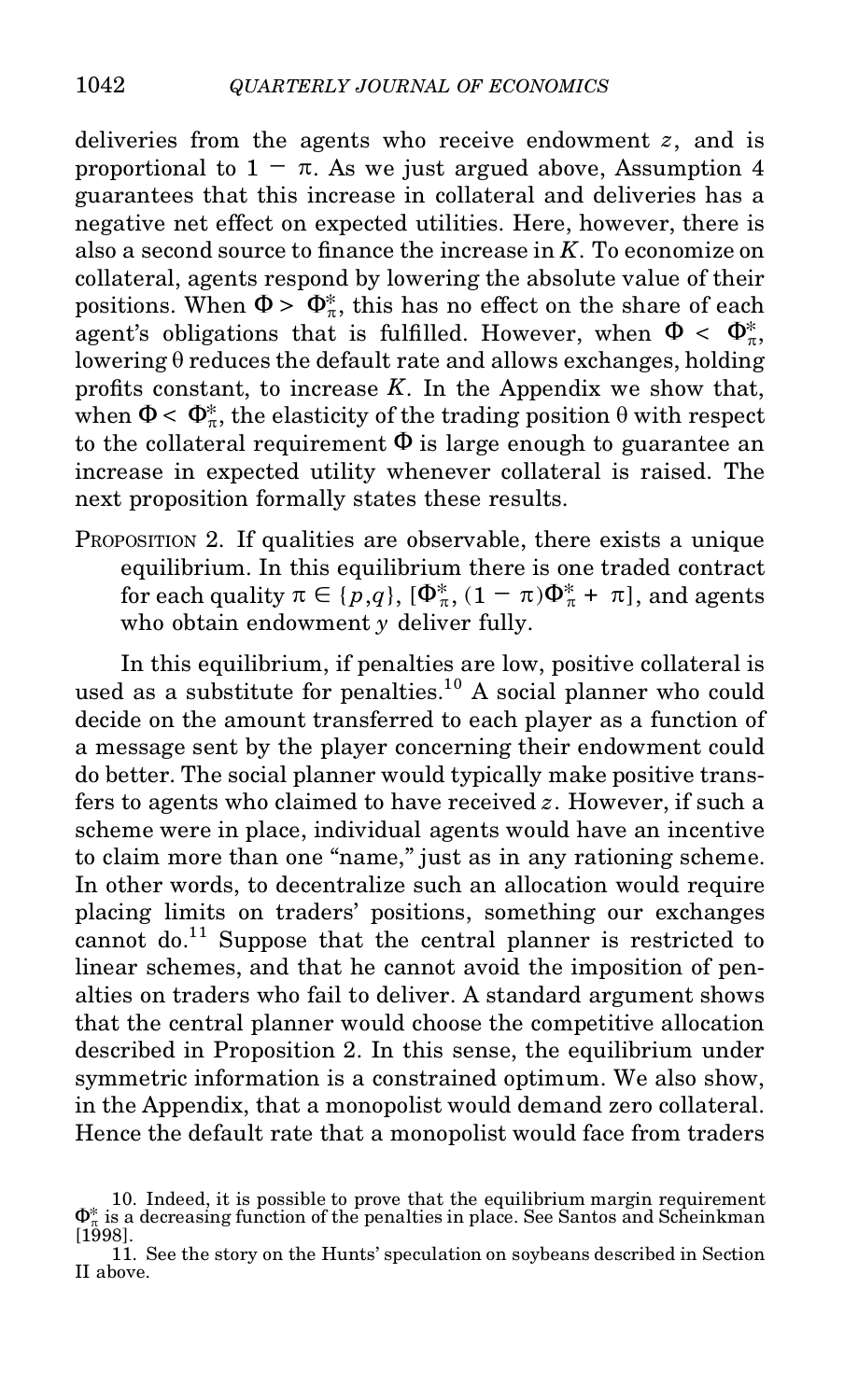deliveries from the agents who receive endowment *z*, and is proportional to  $1 - \pi$ . As we just argued above, Assumption 4 guarantees that this increase in collateral and deliveries has a negative net effect on expected utilities. Here, however, there is also a second source to finance the increase in  $K$ . To economize on collateral, agents respond by lowering the absolute value of their positions. When  $\Phi > \Phi_{\pi}^*$ , this has no effect on the share of each agent's obligations that is fulfilled. However, when  $\Phi < \Phi_{\pi}^*$ , lowering  $\theta$  reduces the default rate and allows exchanges, holding profits constant, to increase  $K$ . In the Appendix we show that, when  $\Phi<\Phi^*_\pi,$  the elasticity of the trading position  $\theta$  with respect to the collateral requirement  $\Phi$  is large enough to guarantee an increase in expected utility whenever collateral is raised. The next proposition formally states these results.

PROPOSITION 2. If qualities are observable, there exists a unique equilibrium. In this equilibrium there is one traded contract for each quality  $\pi \in \{p,q\},$   $[\Phi_\pi^*,$   $(1-\pi)\Phi_\pi^*+\pi]$ , and agents who obtain endowment *y* deliver fully.

In this equilibrium, if penalties are low, positive collateral is used as a substitute for penalties.<sup>10</sup> A social planner who could decide on the amount transferred to each player as a function of a message sent by the player concerning their endowment could do better. The social planner would typically make positive transfers to agents who claimed to have received *z*. However, if such a scheme were in place, individual agents would have an incentive to claim more than one "name," just as in any rationing scheme. In other words, to decentralize such an allocation would require placing limits on traders' positions, something our exchanges cannot do. $11$  Suppose that the central planner is restricted to linear schemes, and that he cannot avoid the imposition of penalties on traders who fail to deliver. A standard argument shows that the central planner would choose the competitive allocation described in Proposition 2. In this sense, the equilibrium under symmetric information is a constrained optimum. We also show, in the Appendix, that a monopolist would demand zero collateral. Hence the default rate that a monopolist would face from traders

<sup>10.</sup> Indeed, it is possible to prove that the equilibrium margin requirement  $\Phi_n^*$  is a decreasing function of the penalties in place. See Santos and Scheinkman [1998].

<sup>11.</sup> See the story on the Hunts' speculation on soybeans described in Section II above.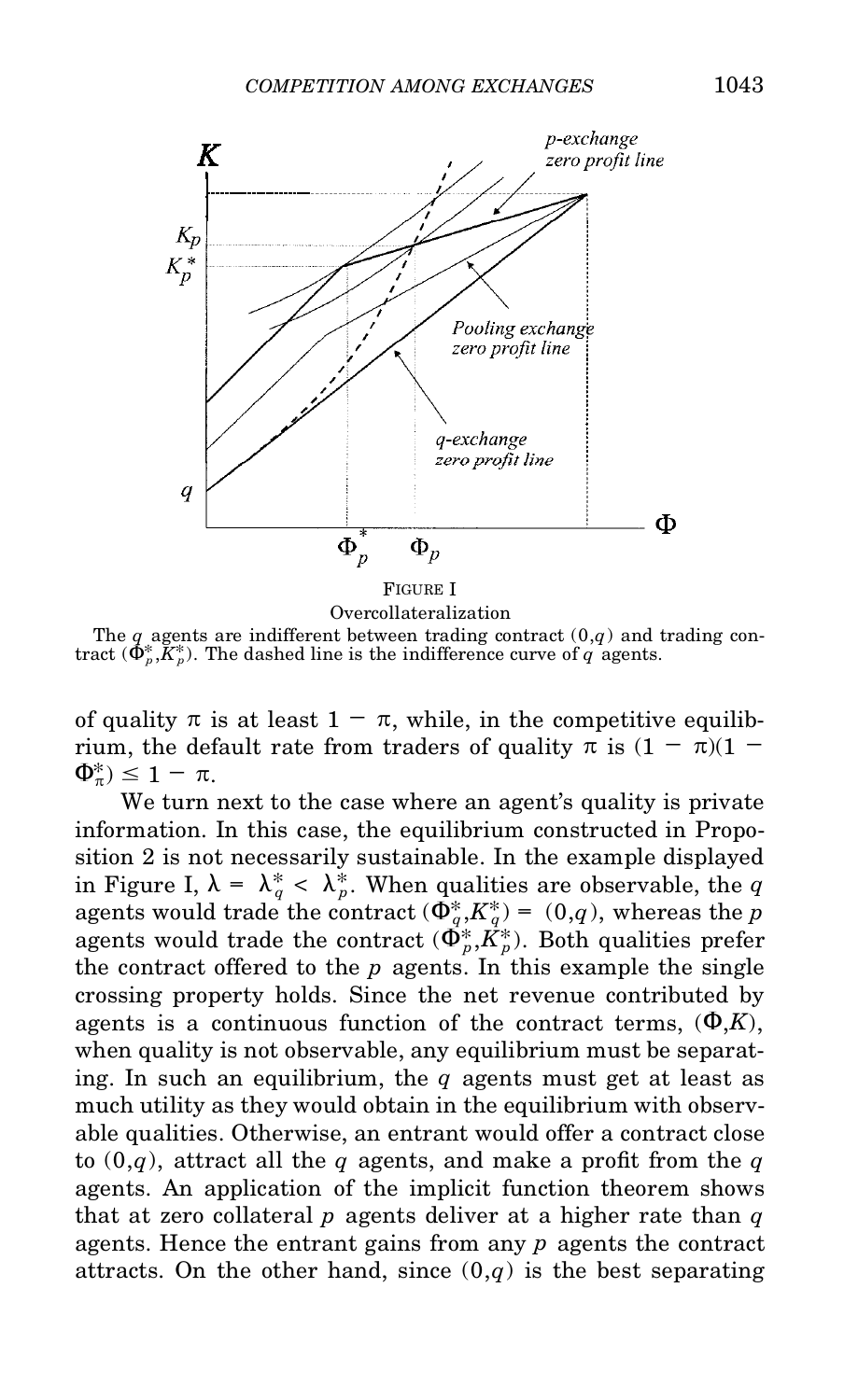

The *q* agents are indifferent between trading contract  $(0,q)$  and trading contract  $(\Phi_p^*, K_p^*)$ . The dashed line is the indifference curve of *q* agents.

of quality  $\pi$  is at least  $1 - \pi$ , while, in the competitive equilibrium, the default rate from traders of quality  $\pi$  is  $(1 - \pi)(1 \Phi^*_{\pi} \geq 1 - \pi$ .

We turn next to the case where an agent's quality is private information. In this case, the equilibrium constructed in Proposition 2 is not necessarily sustainable. In the example displayed in Figure I,  $\lambda = \lambda_q^* < \lambda_p^*$ . When qualities are observable, the  $q$ agents would trade the contract ( $\Phi_q^*, K_q^*$ ) = (0,*q*), whereas the *p* agents would trade the contract  $(\Phi_p^*, K_p^*)$ . Both qualities prefer the contract offered to the *p* agents. In this example the single crossing property holds. Since the net revenue contributed by agents is a continuous function of the contract terms,  $(\Phi,K)$ , when quality is not observable, any equilibrium must be separating. In such an equilibrium, the *q* agents must get at least as much utility as they would obtain in the equilibrium with observable qualities. Otherwise, an entrant would offer a contract close to  $(0,q)$ , attract all the *q* agents, and make a profit from the *q* agents. An application of the implicit function theorem shows that at zero collateral *p* agents deliver at a higher rate than *q* agents. Hence the entrant gains from any *p* agents the contract attracts. On the other hand, since  $(0,q)$  is the best separating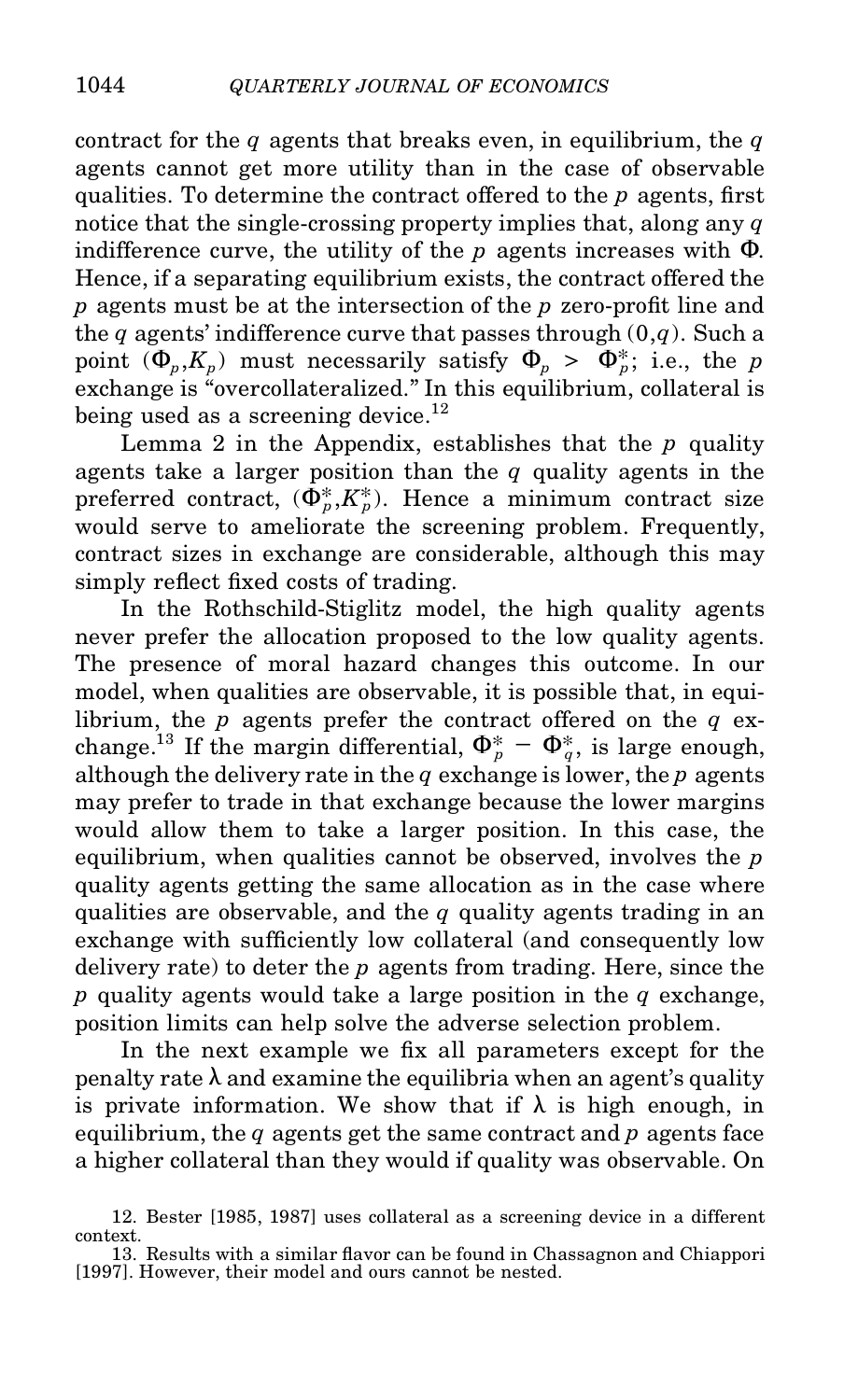contract for the *q* agents that breaks even, in equilibrium, the *q* agents cannot get more utility than in the case of observable qualities. To determine the contract offered to the  $p$  agents, first notice that the single-crossing property implies that, along any *q* indifference curve, the utility of the  $p$  agents increases with  $\Phi$ . Hence, if a separating equilibrium exists, the contract offered the *p* agents must be at the intersection of the *p* zero-profit line and the *q* agents' indifference curve that passes through  $(0,q)$ . Such a point  $(\Phi_p, K_p)$  must necessarily satisfy  $\Phi_p > \Phi_p^*$ ; i.e., the *p* exchange is "overcollateralized." In this equilibrium, collateral is being used as a screening device.<sup>12</sup>

Lemma 2 in the Appendix, establishes that the *p* quality agents take a larger position than the *q* quality agents in the preferred contract,  $(\Phi_p^*, K_p^*)$ . Hence a minimum contract size would serve to ameliorate the screening problem. Frequently, contract sizes in exchange are considerable, although this may simply reflect fixed costs of trading.

In the Rothschild-Stiglitz model, the high quality agents never prefer the allocation proposed to the low quality agents. The presence of moral hazard changes this outcome. In our model, when qualities are observable, it is possible that, in equilibrium, the *p* agents prefer the contract offered on the *q* exchange.<sup>13</sup> If the margin differential,  $\Phi_p^* - \Phi_q^*$ , is large enough, although the delivery rate in the *q* exchange is lower, the *p* agents may prefer to trade in that exchange because the lower margins would allow them to take a larger position. In this case, the equilibrium, when qualities cannot be observed, involves the *p* quality agents getting the same allocation as in the case where qualities are observable, and the *q* quality agents trading in an exchange with sufficiently low collateral (and consequently low delivery rate) to deter the *p* agents from trading. Here, since the *p* quality agents would take a large position in the *q* exchange, position limits can help solve the adverse selection problem.

In the next example we fix all parameters except for the penalty rate  $\lambda$  and examine the equilibria when an agent's quality is private information. We show that if  $\lambda$  is high enough, in equilibrium, the *q* agents get the same contract and *p* agents face a higher collateral than they would if quality was observable. On

<sup>12.</sup> Bester [1985, 1987] uses collateral as a screening device in a different context.

<sup>13.</sup> Results with a similar flavor can be found in Chassagnon and Chiappori [1997]. However, their model and ours cannot be nested.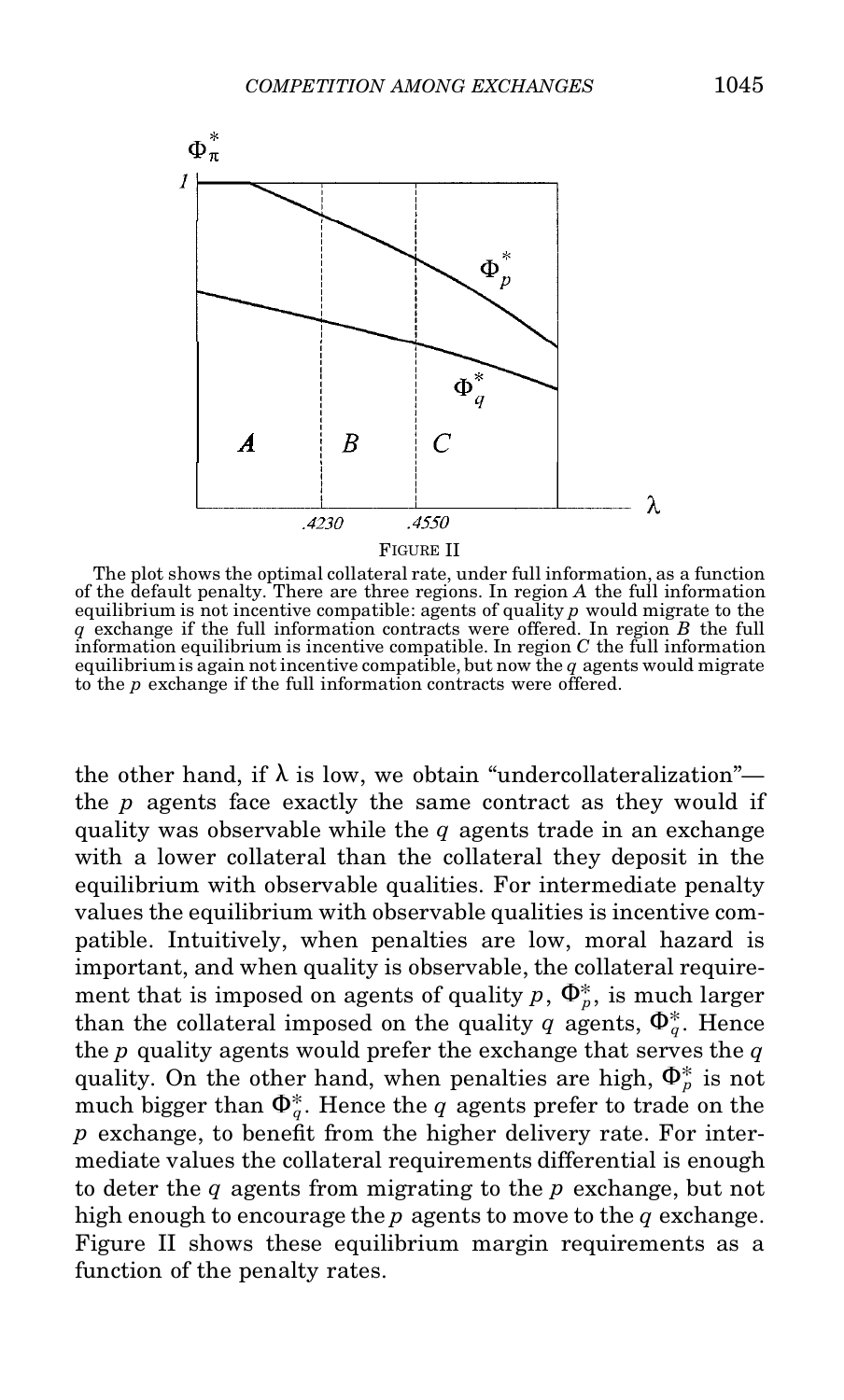

The plot shows the optimal collateral rate, under full information, as a function of the default penalty. There are three regions. In region *A* the full information equilibrium is not incentive compatible: agents of quality  $p$  would migrate to the *q* exchange if the full information contracts were offered. In region *B* the full information equilibrium is incentive compatible. In region *C* the full information equilibrium is again not incentive compatible, but now the  $q$  agents would migrate to the *p* exchange if the full information contracts were offered.

the other hand, if  $\lambda$  is low, we obtain "undercollateralization" the *p* agents face exactly the same contract as they would if quality was observable while the *q* agents trade in an exchange with a lower collateral than the collateral they deposit in the equilibrium with observable qualities. For intermediate penalty values the equilibrium with observable qualities is incentive compatible. Intuitively, when penalties are low, moral hazard is important, and when quality is observable, the collateral requirement that is imposed on agents of quality  $p$  ,  $\Phi_p^*$ , is much larger than the collateral imposed on the quality *q* agents,  $\Phi_q^*$ . Hence the *p* quality agents would prefer the exchange that serves the *q* quality. On the other hand, when penalties are high,  $\Phi_p^*$  is not much bigger than  $\Phi_q^*$ . Hence the  $q$  agents prefer to trade on the  $p$  exchange, to benefit from the higher delivery rate. For intermediate values the collateral requirements differential is enough to deter the *q* agents from migrating to the *p* exchange, but not high enough to encourage the *p* agents to move to the *q* exchange. Figure II shows these equilibrium margin requirements as a function of the penalty rates.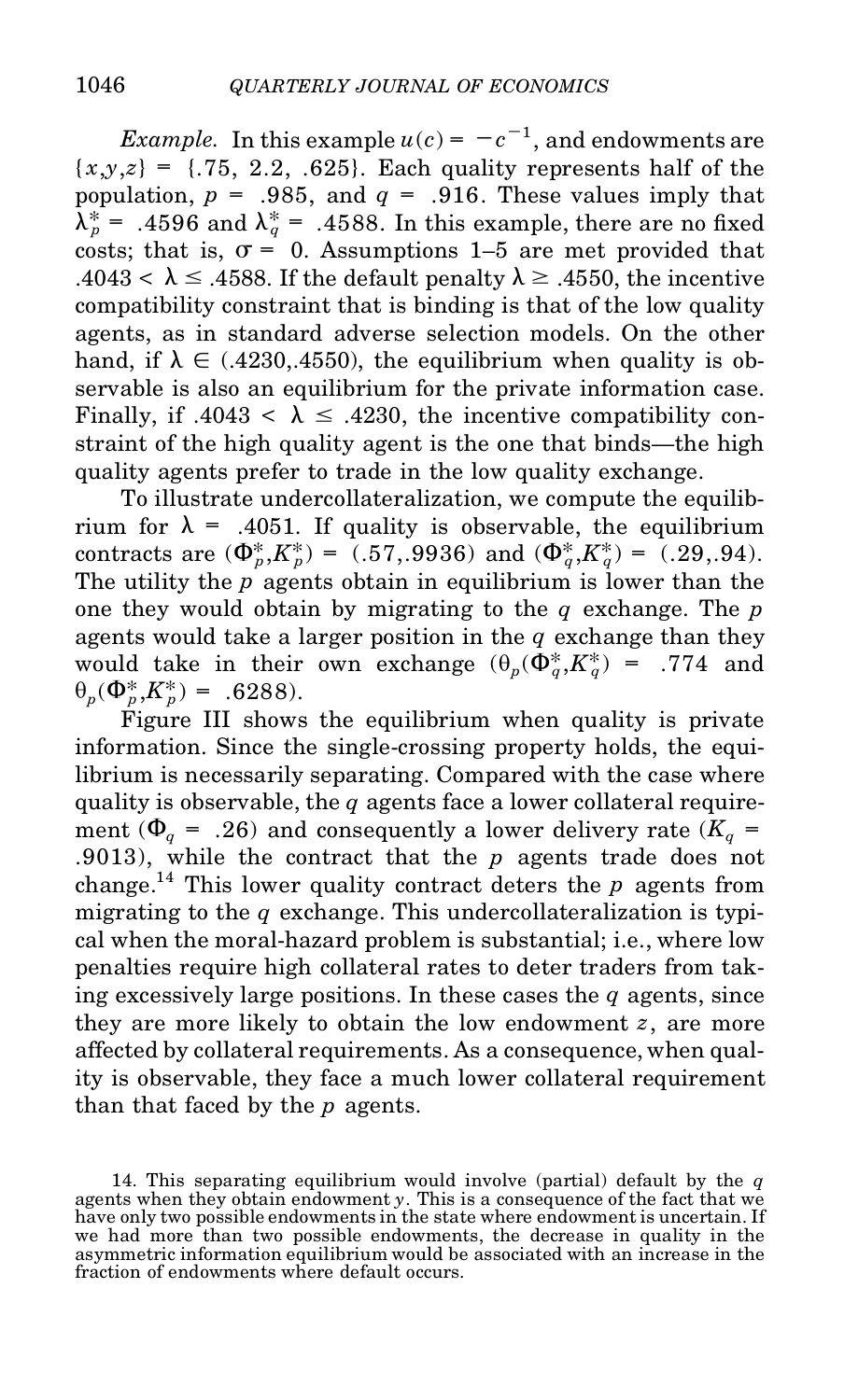*Example.* In this example  $u(c) = -c^{-1}$ , and endowments are  ${x,y,z} = {.75, 2.2, .625}$ . Each quality represents half of the population,  $p = .985$ , and  $q = .916$ . These values imply that  $\lambda_n^*$  = .4596 and  $\lambda_\sigma^*$  = .4588. In this example, there are no fixed costs; that is,  $\sigma = 0$ . Assumptions 1–5 are met provided that .4043 <  $\lambda \leq$  .4588. If the default penalty  $\lambda \geq$  .4550, the incentive compatibility constraint that is binding is that of the low quality agents, as in standard adverse selection models. On the other hand, if  $\lambda \in (0.4230, 0.4550)$ , the equilibrium when quality is observable is also an equilibrium for the private information case. Finally, if .4043 <  $\lambda \leq$  .4230, the incentive compatibility constraint of the high quality agent is the one that binds—the high quality agents prefer to trade in the low quality exchange.

To illustrate undercollateralization, we compute the equilibrium for  $\lambda$  = .4051. If quality is observable, the equilibrium contracts are  $(\Phi_p^*, K_p^*)$  = (.57,.9936) and  $(\Phi_q^*, K_q^*)$  = (.29,.94). The utility the  $p$  agents obtain in equilibrium is lower than the one they would obtain by migrating to the *q* exchange. The *p* agents would take a larger position in the *q* exchange than they would take in their own exchange  $(\theta_p(\Phi_q^*, K_q^*)$  = .774 and  $\theta_p(\Phi_p^*, K_p^*) = .6288$ .

Figure III shows the equilibrium when quality is private information. Since the single-crossing property holds, the equilibrium is necessarily separating. Compared with the case where quality is observable, the *q* agents face a lower collateral requirement ( $\Phi_q$  = .26) and consequently a lower delivery rate ( $K_q$  = .9013), while the contract that the *p* agents trade does not change.<sup>14</sup> This lower quality contract deters the  $p$  agents from migrating to the *q* exchange. This undercollateralization is typical when the moral-hazard problem is substantial; i.e., where low penalties require high collateral rates to deter traders from taking excessively large positions. In these cases the *q* agents, since they are more likely to obtain the low endowment *z*, are more affected by collateral requirements. As a consequence, when quality is observable, they face a much lower collateral requirement than that faced by the *p* agents.

<sup>14.</sup> This separating equilibrium would involve (partial) default by the *q* agents when they obtain endowment *y*. This is a consequence of the fact that we have only two possible endowments in the state where endowment is uncertain. If we had more than two possible endowments, the decrease in quality in the asymmetric information equilibrium would be associated with an increase in the fraction of endowments where default occurs.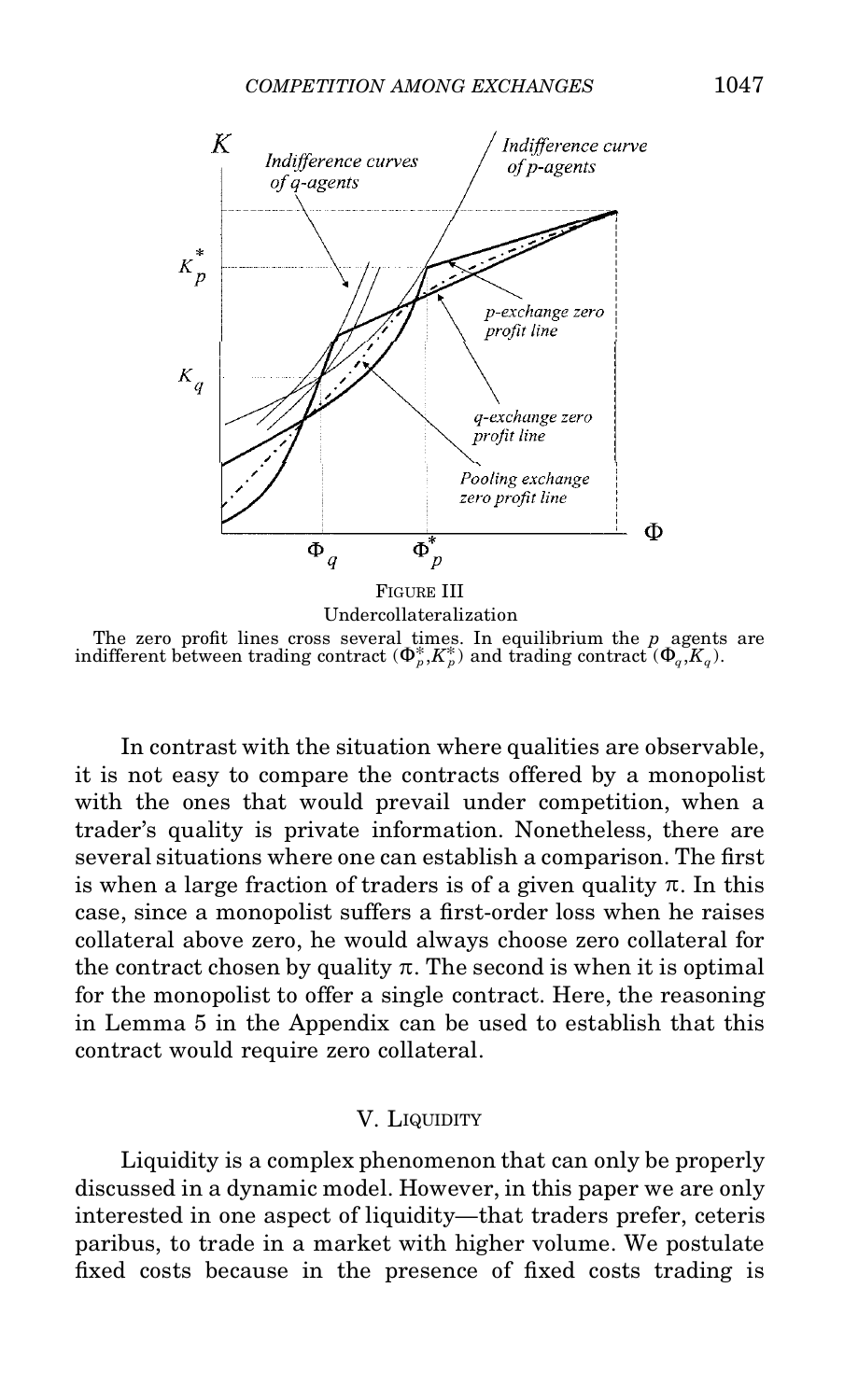

The zero profit lines cross several times. In equilibrium the *p* agents are indifferent between trading contract ( $\Phi_p^*$ , $K_p^*$ ) and trading contract ( $\Phi_q$ , $K_q$ ).

In contrast with the situation where qualities are observable, it is not easy to compare the contracts offered by a monopolist with the ones that would prevail under competition, when a trader's quality is private information. Nonetheless, there are several situations where one can establish a comparison. The first is when a large fraction of traders is of a given quality  $\pi$ . In this case, since a monopolist suffers a first-order loss when he raises collateral above zero, he would always choose zero collateral for the contract chosen by quality  $\pi$ . The second is when it is optimal for the monopolist to offer a single contract. Here, the reasoning in Lemma 5 in the Appendix can be used to establish that this contract would require zero collateral.

## V. LIQUIDITY

Liquidity is a complex phenomenon that can only be properly discussed in a dynamic model. However, in this paper we are only interested in one aspect of liquidity—that traders prefer, ceteris paribus, to trade in a market with higher volume. We postulate fixed costs because in the presence of fixed costs trading is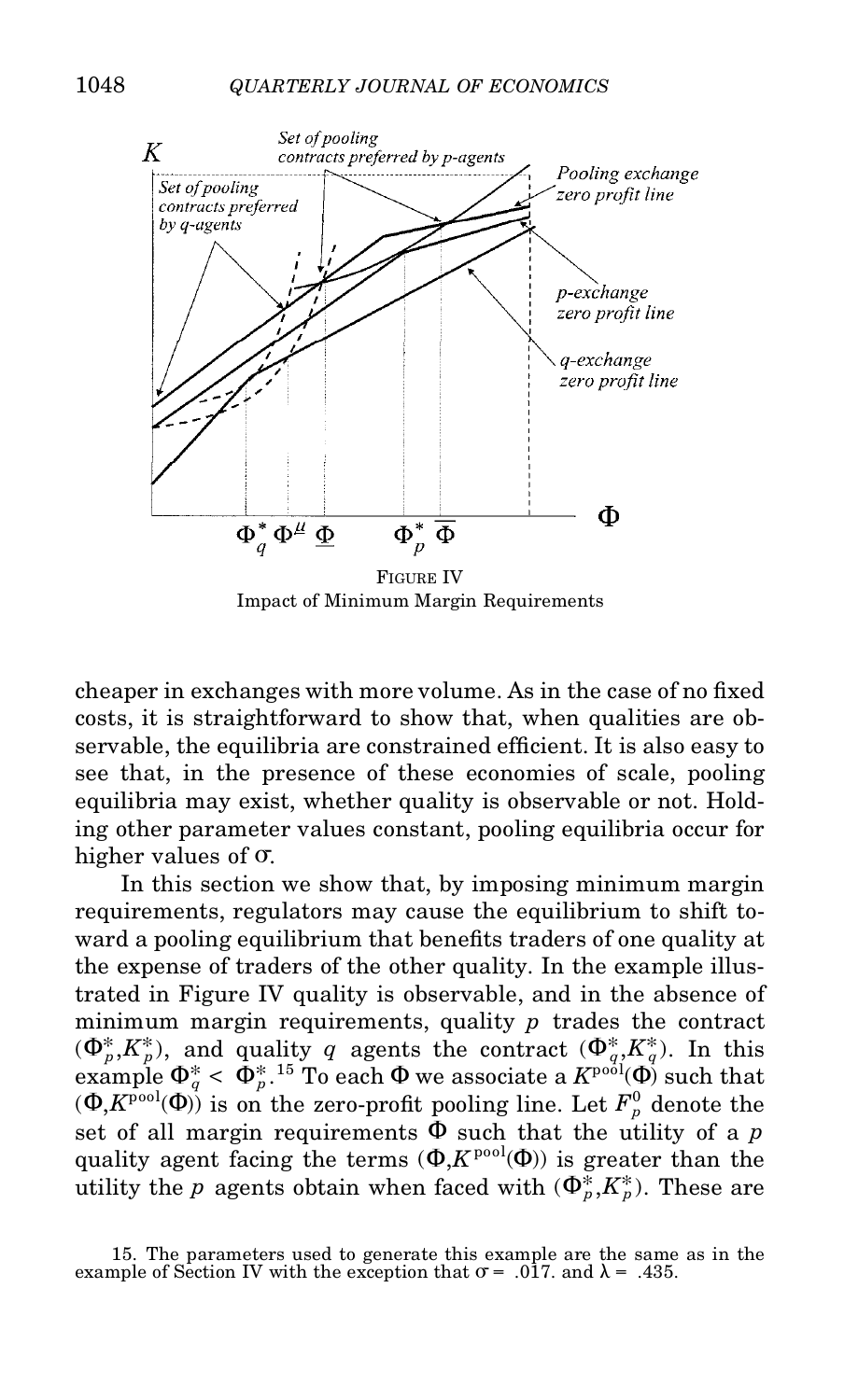

Impact of Minimum Margin Requirements

cheaper in exchanges with more volume. As in the case of no fixed costs, it is straightforward to show that, when qualities are observable, the equilibria are constrained efficient. It is also easy to see that, in the presence of these economies of scale, pooling equilibria may exist, whether quality is observable or not. Holding other parameter values constant, pooling equilibria occur for higher values of  $\sigma$ .

In this section we show that, by imposing minimum margin requirements, regulators may cause the equilibrium to shift toward a pooling equilibrium that benefits traders of one quality at the expense of traders of the other quality. In the example illustrated in Figure IV quality is observable, and in the absence of minimum margin requirements, quality *p* trades the contract  $(\Phi_p^*, K_p^*)$ , and quality *q* agents the contract  $(\Phi_q^*, K_q^*)$ . In this example  $\Phi_q^* < \Phi_p^*$ .<sup>15</sup> To each  $\Phi$  we associate a  $K^{\text{pool}}(\Phi)$  such that  $(\Phi, K^{\text{pool}}(\Phi))$  is on the zero-profit pooling line. Let  $F^0_p$  denote the set of all margin requirements  $\Phi$  such that the utility of a *p* quality agent facing the terms  $(\Phi, K^{\text{pool}}(\Phi))$  is greater than the utility the *p* agents obtain when faced with  $(\Phi_p^*, K_p^*)$ . These are

<sup>15.</sup> The parameters used to generate this example are the same as in the example of Section IV with the exception that  $\sigma = .017$ . and  $\lambda = .435$ .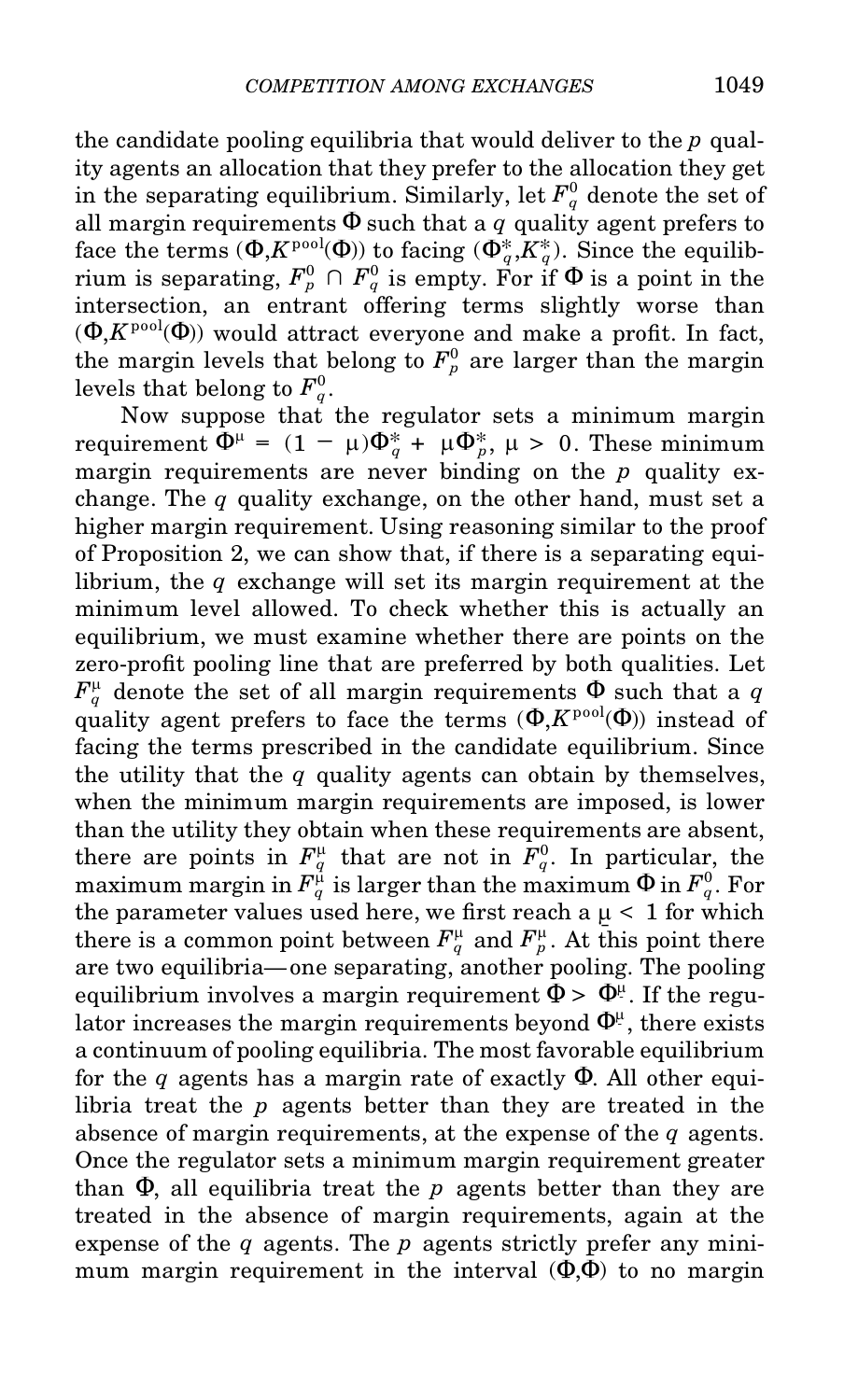the candidate pooling equilibria that would deliver to the *p* quality agents an allocation that they prefer to the allocation they get in the separating equilibrium. Similarly, let  $F_q^0$  denote the set of all margin requirements  $\Phi$  such that a *q* quality agent prefers to face the terms  $(\Phi, K^{\text{pool}}(\Phi))$  to facing  $(\Phi_q^*, K_q^*)$ . Since the equilibrium is separating,  $F_p^0 \cap F_q^0$  is empty. For if  $\Phi$  is a point in the intersection, an entrant offering terms slightly worse than  $(\Phi, K^{\text{pool}}(\Phi))$  would attract everyone and make a profit. In fact, the margin levels that belong to  $F_p^0$  are larger than the margin

levels that belong to  $F_q^0.$ Now suppose that the regulator sets a minimum margin requirement  $\Phi^{\mu} = (1 - \mu)\Phi_q^* + \mu \Phi_p^*, \mu > 0$ . These minimum margin requirements are never binding on the  $p$  quality exchange. The *q* quality exchange, on the other hand, must set a higher margin requirement. Using reasoning similar to the proof of Proposition 2, we can show that, if there is a separating equilibrium, the *q* exchange will set its margin requirement at the minimum level allowed. To check whether this is actually an equilibrium, we must examine whether there are points on the zero-profit pooling line that are preferred by both qualities. Let  $F_q^{\mu}$  denote the set of all margin requirements  $\Phi$  such that a *q* quality agent prefers to face the terms  $(\Phi, K^{\text{pool}}(\Phi))$  instead of facing the terms prescribed in the candidate equilibrium. Since the utility that the *q* quality agents can obtain by themselves, when the minimum margin requirements are imposed, is lower than the utility they obtain when these requirements are absent, there are points in  $F_q^{\mu}$  that are not in  $F_q^0$ . In particular, the maximum margin in  $F_q^{\hat\mu}$  is larger than the maximum  $\Phi$  in  $F_q^0.$  For the parameter values used here, we first reach a  $\mu < 1$  for which there is a common point between  $F_q^{\mu}$  and  $F_p^{\mu}$ . At this point there are two equilibria—one separating, another pooling. The pooling equilibrium involves a margin requirement  $\Phi > \Phi^{\mu}$ . If the regulator increases the margin requirements beyond  $\Phi^{\mu}$  there exists lator increases the margin requirements beyond  $\Phi^{\!\scriptscriptstyle\mu}_{\!\scriptscriptstyle\cdot},$  there exists a continuum of pooling equilibria. The most favorable equilibrium for the  $q$  agents has a margin rate of exactly  $\Phi$ . All other equilibria treat the *p* agents better than they are treated in the absence of margin requirements, at the expense of the *q* agents. Once the regulator sets a minimum margin requirement greater than  $\Phi$ , all equilibria treat the  $p$  agents better than they are  $t$  treated in the absence of margin requirements, again at the expense of the *q* agents. The *p* agents strictly prefer any minimum margin requirement in the interval  $(\dot{\Phi}, \dot{\Phi})$  to no margin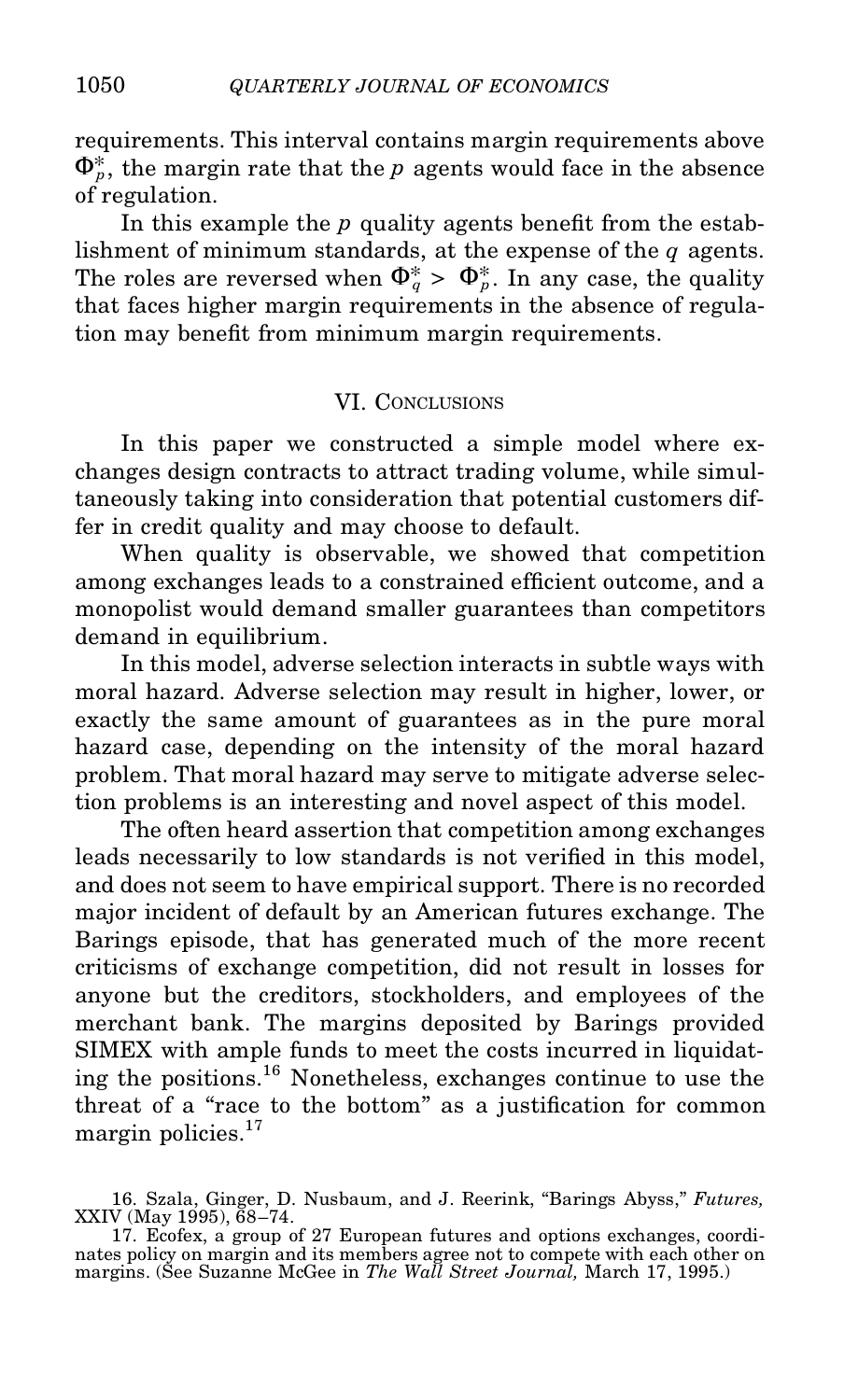requirements. This interval contains margin requirements above  $\Phi_p^*$ , the margin rate that the  $p$  agents would face in the absence of regulation.

In this example the  $p$  quality agents benefit from the establishment of minimum standards, at the expense of the *q* agents. The roles are reversed when  $\Phi_q^*$  >  $\Phi_p^*$ . In any case, the quality that faces higher margin requirements in the absence of regulation may benefit from minimum margin requirements.

## VI. CONCLUSIONS

In this paper we constructed a simple model where exchanges design contracts to attract trading volume, while simultaneously taking into consideration that potential customers differ in credit quality and may choose to default.

When quality is observable, we showed that competition among exchanges leads to a constrained efficient outcome, and a monopolist would demand smaller guarantees than competitors demand in equilibrium.

In this model, adverse selection interacts in subtle ways with moral hazard. Adverse selection may result in higher, lower, or exactly the same amount of guarantees as in the pure moral hazard case, depending on the intensity of the moral hazard problem. That moral hazard may serve to mitigate adverse selection problems is an interesting and novel aspect of this model.

The often heard assertion that competition among exchanges leads necessarily to low standards is not verified in this model, and does not seem to have empirical support. There is no recorded major incident of default by an American futures exchange. The Barings episode, that has generated much of the more recent criticisms of exchange competition, did not result in losses for anyone but the creditors, stockholders, and employees of the merchant bank. The margins deposited by Barings provided SIMEX with ample funds to meet the costs incurred in liquidating the positions.<sup>16</sup> Nonetheless, exchanges continue to use the threat of a "race to the bottom" as a justification for common margin policies. $17$ 

<sup>16.</sup> Szala, Ginger, D. Nusbaum, and J. Reerink, "Barings Abyss," *Futures,* XXIV (May 1995), 68–74.

<sup>17.</sup> Ecofex, a group of 27 European futures and options exchanges, coordinates policy on margin and its members agree not to compete with each other on margins. (See Suzanne McGee in *The Wall Street Journal*, March 17, 1995.)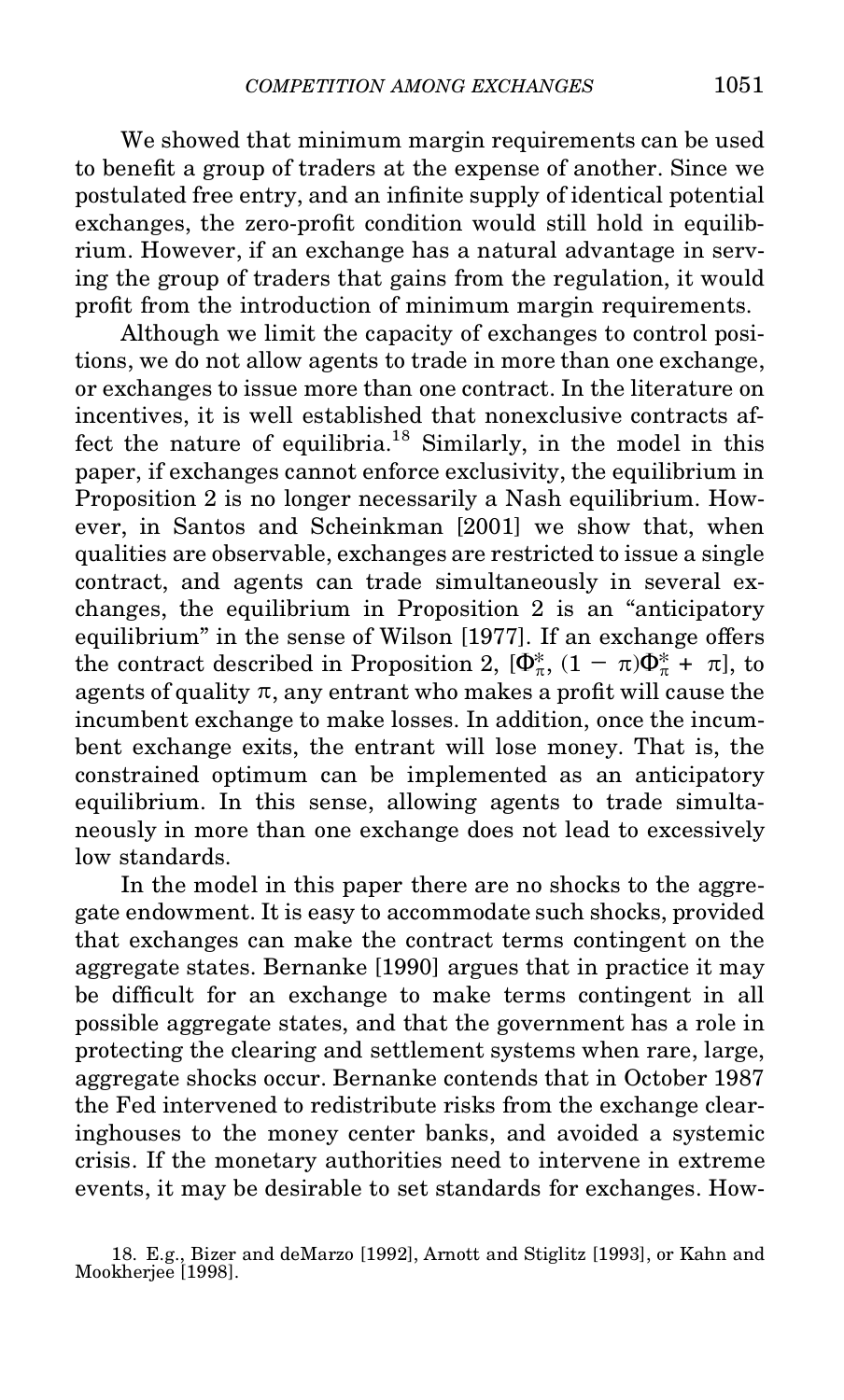We showed that minimum margin requirements can be used to benefit a group of traders at the expense of another. Since we postulated free entry, and an infinite supply of identical potential exchanges, the zero-profit condition would still hold in equilibrium. However, if an exchange has a natural advantage in serving the group of traders that gains from the regulation, it would profit from the introduction of minimum margin requirements.

Although we limit the capacity of exchanges to control positions, we do not allow agents to trade in more than one exchange, or exchanges to issue more than one contract. In the literature on incentives, it is well established that nonexclusive contracts affect the nature of equilibria.<sup>18</sup> Similarly, in the model in this paper, if exchanges cannot enforce exclusivity, the equilibrium in Proposition 2 is no longer necessarily a Nash equilibrium. However, in Santos and Scheinkman [2001] we show that, when qualities are observable, exchanges are restricted to issue a single contract, and agents can trade simultaneously in several exchanges, the equilibrium in Proposition 2 is an "anticipatory equilibrium" in the sense of Wilson [1977]. If an exchange offers the contract described in Proposition 2,  $[\Phi_{\pi}^*, (1 - \pi)\Phi_{\pi}^* + \pi]$ , to agents of quality  $\pi$ , any entrant who makes a profit will cause the incumbent exchange to make losses. In addition, once the incumbent exchange exits, the entrant will lose money. That is, the constrained optimum can be implemented as an anticipatory equilibrium. In this sense, allowing agents to trade simultaneously in more than one exchange does not lead to excessively low standards.

In the model in this paper there are no shocks to the aggregate endowment. It is easy to accommodate such shocks, provided that exchanges can make the contract terms contingent on the aggregate states. Bernanke [1990] argues that in practice it may be difficult for an exchange to make terms contingent in all possible aggregate states, and that the government has a role in protecting the clearing and settlement systems when rare, large, aggregate shocks occur. Bernanke contends that in October 1987 the Fed intervened to redistribute risks from the exchange clearinghouses to the money center banks, and avoided a systemic crisis. If the monetary authorities need to intervene in extreme events, it may be desirable to set standards for exchanges. How-

<sup>18.</sup> E.g., Bizer and deMarzo [1992], Arnott and Stiglitz [1993], or Kahn and Mookherjee [1998].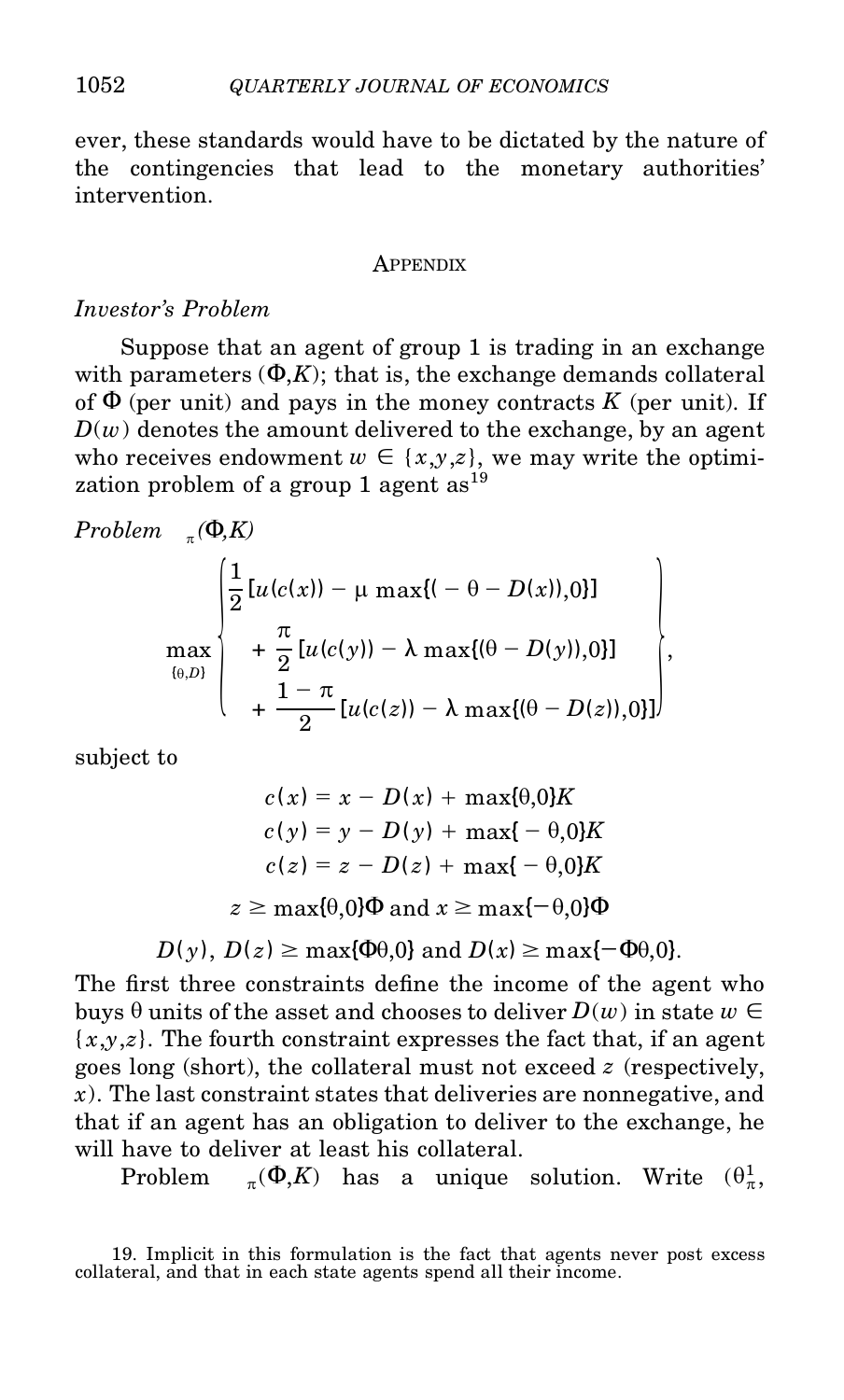ever, these standards would have to be dictated by the nature of the contingencies that lead to the monetary authorities' intervention.

#### **APPENDIX**

### *Investor's Problem*

Suppose that an agent of group 1 is trading in an exchange with parameters  $(\Phi,K)$ ; that is, the exchange demands collateral of  $\Phi$  (per unit) and pays in the money contracts *K* (per unit). If  $D(w)$  denotes the amount delivered to the exchange, by an agent who receives endowment  $w \in \{x,y,z\}$ , we may write the optimization problem of a group 1 agent  $as^{19}$ 

 $Problem \quad \pi(\pmb{\Phi}\!,\! K)$ 

$$
\max_{\{0,D\}} \left\{\frac{1}{2}\left[u(c(x)) - \mu \max\{(-\theta - D(x)),0\}\right] + \frac{\pi}{2}\left[u(c(y)) - \lambda \max\{(\theta - D(y)),0\}\right] + \frac{1-\pi}{2}\left[u(c(z)) - \lambda \max\{(\theta - D(z)),0\}\right]\right\},\right\}
$$

subject to

$$
c(x) = x - D(x) + \max{\theta, 0}K
$$
  
\n
$$
c(y) = y - D(y) + \max{-\theta, 0}K
$$
  
\n
$$
c(z) = z - D(z) + \max{-\theta, 0}K
$$
  
\n
$$
z \ge \max{\theta, 0} \Phi \text{ and } x \ge \max{-\theta, 0} \Phi
$$

$$
D(y)
$$
,  $D(z) \ge \max{\lbrace \Phi \theta, 0 \rbrace}$  and  $D(x) \ge \max{\lbrace -\Phi \theta, 0 \rbrace}$ .

The first three constraints define the income of the agent who buys  $\theta$  units of the asset and chooses to deliver  $D(w)$  in state  $w \in$  $\{x,y,z\}$ . The fourth constraint expresses the fact that, if an agent goes long (short), the collateral must not exceed *z* (respectively, *x*). The last constraint states that deliveries are nonnegative, and that if an agent has an obligation to deliver to the exchange, he will have to deliver at least his collateral.

Problem  $_{\pi}(\Phi,K)$  has a unique solution. Write  $(\theta_{\pi}^1,$ 

<sup>19.</sup> Implicit in this formulation is the fact that agents never post excess collateral, and that in each state agents spend all their income.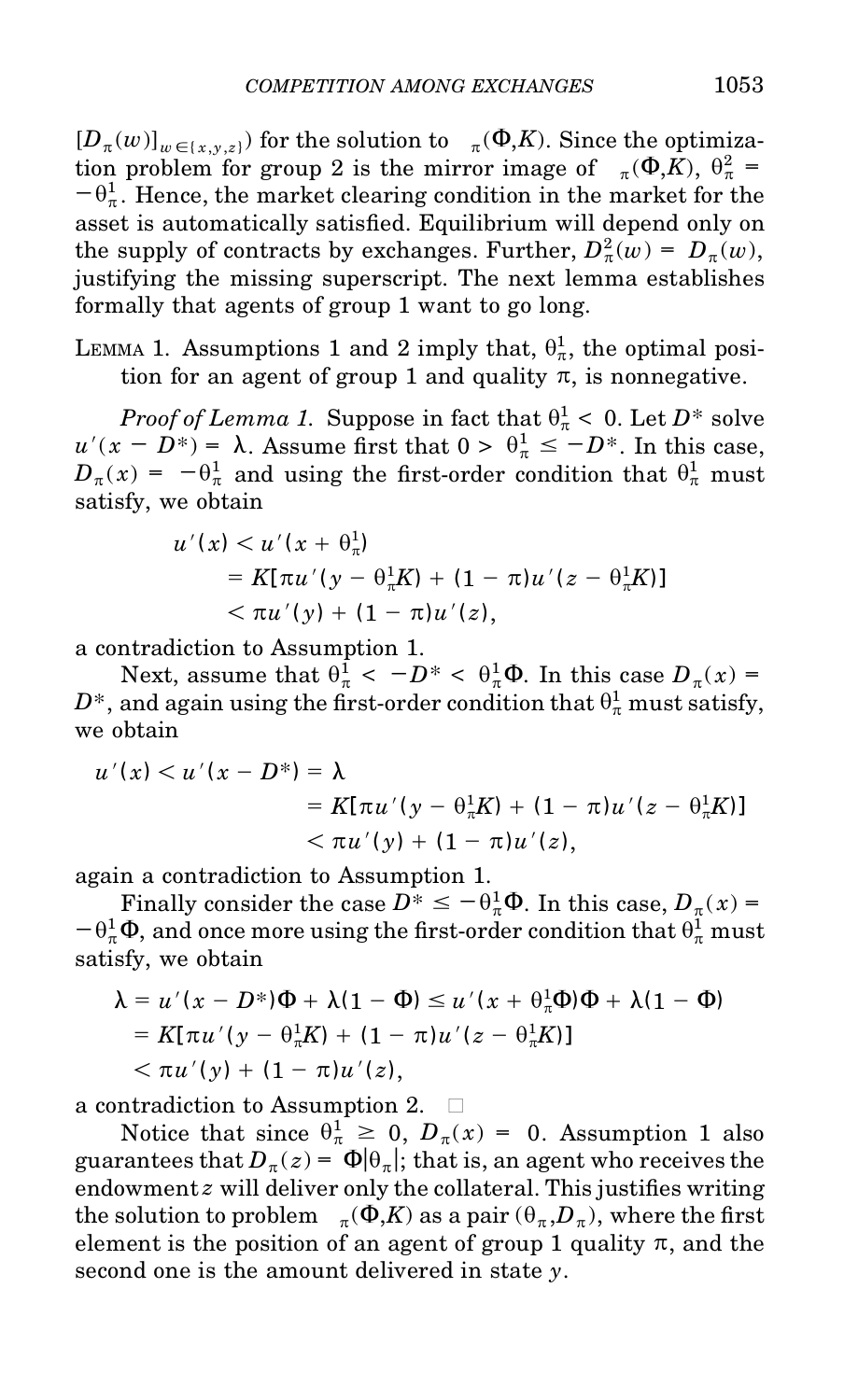$[D_{\pi}(w)]_{w \in \{x,y,z\}}$  for the solution to  $\pi(\Phi,K)$ . Since the optimization problem for group 2 is the mirror image of  $_{\pi}(\Phi,K)$ ,  $\theta_{\pi}^2$  =  $-\theta_{\pi}^{1}$ . Hence, the market clearing condition in the market for the asset is automatically satisfied. Equilibrium will depend only on the supply of contracts by exchanges. Further,  $D^2_{\pi}(w) = D_{\pi}(w)$ , justifying the missing superscript. The next lemma establishes formally that agents of group 1 want to go long.

LEMMA 1. Assumptions 1 and 2 imply that,  $\theta_{\pi}^1$ , the optimal position for an agent of group 1 and quality  $\pi$ , is nonnegative.

*Proof of Lemma 1.* Suppose in fact that  $\theta_{\pi}^1$  < 0. Let  $D^*$  solve  $u'(x - D^*) = \lambda$ . Assume first that  $0 > \theta_\pi^1 \leq -D^*$ . In this case,  $D_{\pi}(x) = -\theta_{\pi}^{1}$  and using the first-order condition that  $\theta_{\pi}^{1}$  must satisfy, we obtain

$$
u'(x) < u'(x + \theta_{\pi}^1)
$$
  
=  $K[\pi u'(y - \theta_{\pi}^1 K) + (1 - \pi)u'(z - \theta_{\pi}^1 K)]$   
<  $\pi u'(y) + (1 - \pi)u'(z),$ 

a contradiction to Assumption 1.

Next, assume that  $\theta_{\pi}^1 < -D^* < \theta_{\pi}^1 \Phi$ . In this case  $D_{\pi}(x) =$  $D^*$ , and again using the first-order condition that  $\theta_\pi^1$  must satisfy, we obtain

$$
u'(x) < u'(x - D^*) = \lambda
$$
  
=  $K[\pi u'(y - \theta_{\pi}^1 K) + (1 - \pi)u'(z - \theta_{\pi}^1 K)]$   
<  $\pi u'(y) + (1 - \pi)u'(z),$ 

again a contradiction to Assumption 1.

Finally consider the case  $D^* \leq -\theta_{\pi}^1 \Phi$ . In this case,  $D_{\pi}(x)$  =  $- \theta_\pi^1 \Phi$ , and once more using the first-order condition that  $\theta_\pi^1$  must satisfy, we obtain

$$
\lambda = u'(x - D^*)\Phi + \lambda(1 - \Phi) \le u'(x + \theta^1_x\Phi)\Phi + \lambda(1 - \Phi)
$$
  
=  $K[\pi u'(y - \theta^1_xK) + (1 - \pi)u'(z - \theta^1_xK)]$   
<  $\pi u'(y) + (1 - \pi)u'(z),$ 

a contradiction to Assumption 2.  $\Box$ 

Notice that since  $\theta_{\pi}^1 \geq 0$ ,  $D_{\pi}(x) = 0$ . Assumption 1 also guarantees that  $D_\pi(z)$  =  $\Phi | \theta_\pi |$ ; that is, an agent who receives the endowment  $z$  will deliver only the collateral. This justifies writing the solution to problem  $\pi(\Phi, K)$  as a pair  $(\theta_{\pi}, D_{\pi})$ , where the first element is the position of an agent of group 1 quality  $\pi$ , and the second one is the amount delivered in state *y*.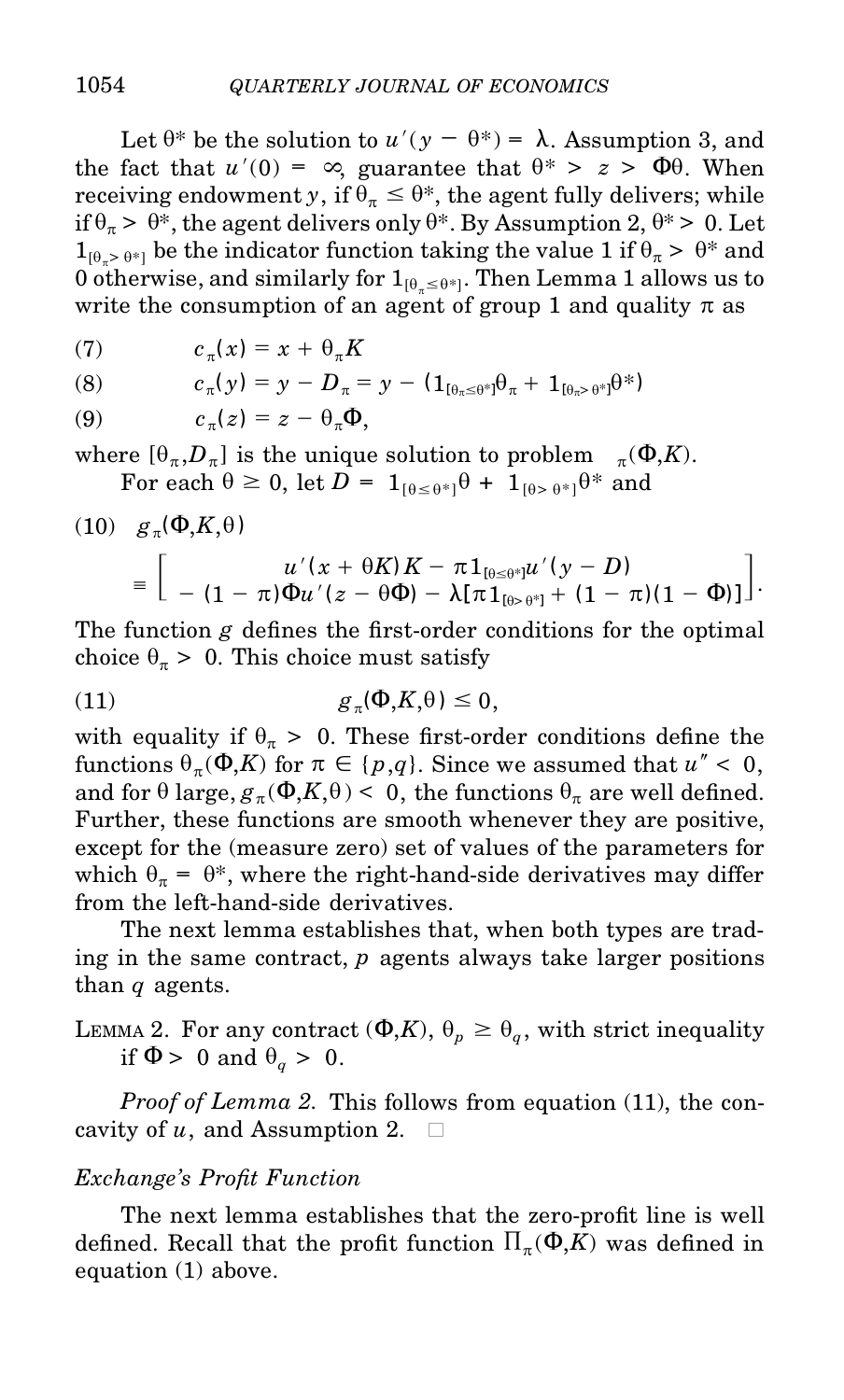Let  $\theta^*$  be the solution to  $u'(\gamma - \theta^*) = \lambda$ . Assumption 3, and the fact that  $u'(0) = \infty$ , guarantee that  $\theta^* > z > \Phi_0$ . When receiving endowment *y*, if  $\theta_{\pi} \leq \theta^*$ , the agent fully delivers; while if  $\theta_{\pi} > \theta^*$ , the agent delivers only  $\theta^*$ . By Assumption 2,  $\theta^* > 0$ . Let  $1_{\{u\} > \theta^{*}}$  be the indicator function taking the value 1 if  $\theta_{\pi} > \theta^{*}$  and 0 otherwise, and similarly for  $1_{\{0\leq \theta\}}$ . Then Lemma 1 allows us to write the consumption of an agent of group 1 and quality  $\pi$  as

$$
(7) \hspace{1cm} c_{\pi}(x) = x + \theta_{\pi} K
$$

(8) 
$$
c_{\pi}(y) = y - D_{\pi} = y - (1_{[\theta_{\pi} \leq \theta^{*}]} \theta_{\pi} + 1_{[\theta_{\pi} > \theta^{*}]} \theta^{*})
$$

$$
(9) \t\t\t c_{\pi}(z) = z - \theta_{\pi} \Phi,
$$

where  $[\theta_{\pi}, D_{\pi}]$  is the unique solution to problem  $\pi(\Phi, K)$ . For each  $\theta \ge 0$ , let  $D = 1_{\{\theta \le \theta^*\}}\theta + 1_{\{\theta > \theta^*\}}\theta^*$  and

(10) 
$$
g_{\pi}(\Phi, K, \theta)
$$
  
=  $\begin{bmatrix} u'(x + \theta K) K - \pi 1_{[\theta \le \theta^*]} u'(y - D) \\ - (1 - \pi) \Phi u'(z - \theta \Phi) - \lambda [\pi 1_{[\theta > \theta^*]} + (1 - \pi)(1 - \Phi)] \end{bmatrix}$ .

The function *g* defines the first-order conditions for the optimal choice  $\theta_{\pi} > 0$ . This choice must satisfy

$$
(11) \t\t g_{\pi}(\Phi, K, \theta) \leq 0,
$$

with equality if  $\theta_{\pi} > 0$ . These first-order conditions define the functions  $\theta_{\pi}(\Phi, K)$  for  $\pi \in \{p,q\}$ . Since we assumed that  $u'' < 0$ , and for  $\theta$  large,  $g_{\pi}(\Phi, K, \theta) < 0$ , the functions  $\theta_{\pi}$  are well defined. Further, these functions are smooth whenever they are positive, except for the (measure zero) set of values of the parameters for which  $\theta_{\pi} = \theta^*$ , where the right-hand-side derivatives may differ from the left-hand-side derivatives.

The next lemma establishes that, when both types are trading in the same contract, *p* agents always take larger positions than *q* agents.

LEMMA 2. For any contract  $(\Phi, K)$ ,  $\theta_p \ge \theta_q$ , with strict inequality if  $\Phi$  > 0 and  $\theta_a$  > 0.

*Proof of Lemma 2.* This follows from equation (11), the concavity of  $u$ , and Assumption 2.  $\Box$ 

## *Exchange's Prot Function*

The next lemma establishes that the zero-profit line is well defined. Recall that the profit function  $\Pi_\pi(\Phi,K)$  was defined in equation (1) above.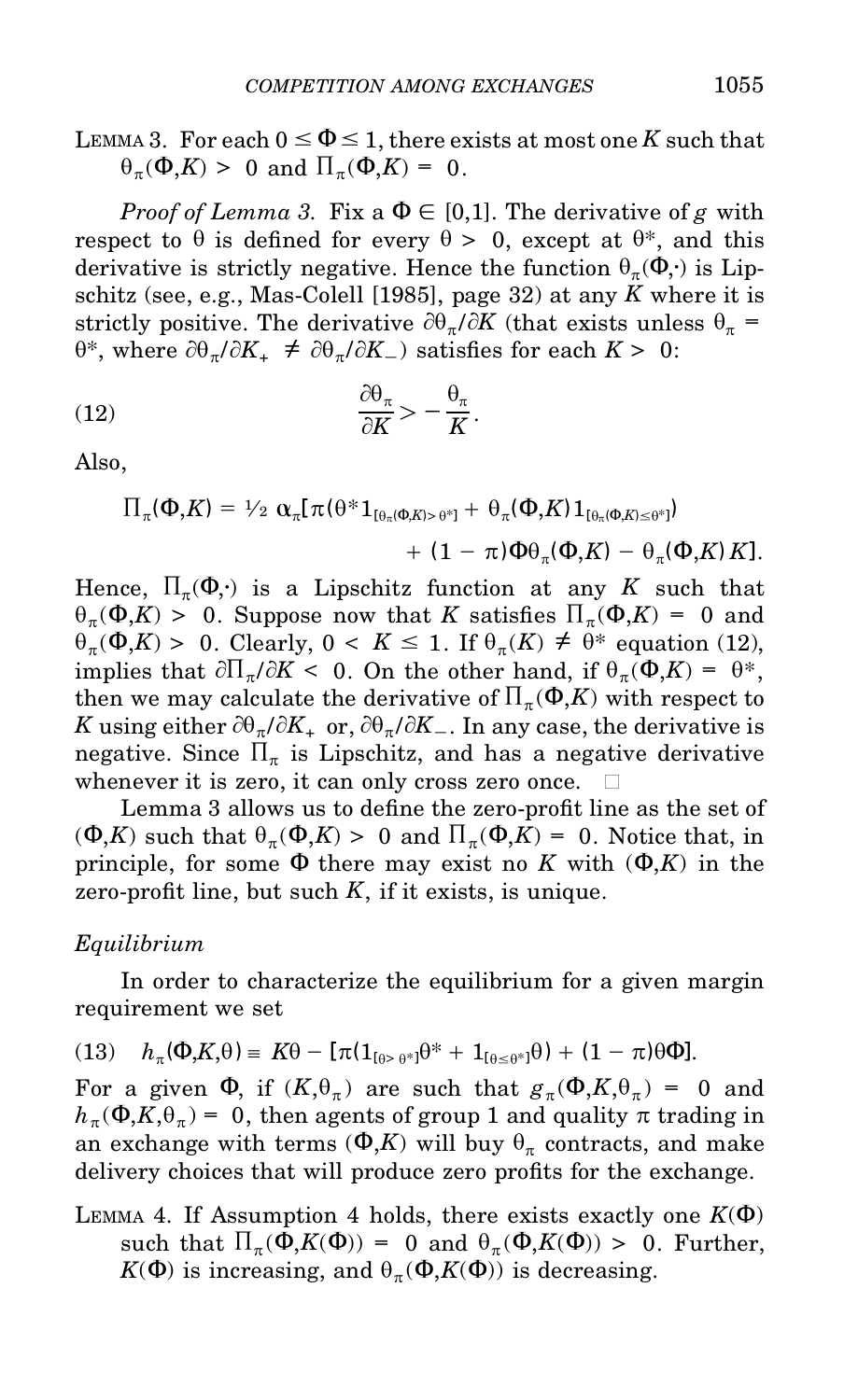LEMMA 3. For each  $0 \le \Phi \le 1$ , there exists at most one K such that  $\theta_{\pi}(\Phi, K) > 0$  and  $\Pi_{\pi}(\Phi, K) = 0$ .

*Proof of Lemma 3.* Fix a  $\Phi \in [0,1]$ . The derivative of *g* with respect to  $\theta$  is defined for every  $\theta > 0$ , except at  $\theta^*$ , and this derivative is strictly negative. Hence the function  $\theta_{\pi}(\Phi, \cdot)$  is Lipschitz (see, e.g., Mas-Colell [1985], page 32) at any *K* where it is strictly positive. The derivative  $\partial \theta_{\pi}/\partial K$  (that exists unless  $\theta_{\pi}$  =  $\theta^*$ , where  $\partial \theta_{\pi}/\partial K_+ \neq \partial \theta_{\pi}/\partial K_-$  satisfies for each  $K > 0$ :

$$
\frac{\partial \theta_{\pi}}{\partial K} > -\frac{\theta_{\pi}}{K}.
$$

Also,

$$
\Pi_{\pi}(\Phi,K) = \frac{1}{2} \alpha_{\pi} [\pi(\theta^* 1_{[\theta_{\pi}(\Phi,K) > \theta^*]} + \theta_{\pi}(\Phi,K) 1_{[\theta_{\pi}(\Phi,K) \leq \theta^*]} )
$$
  
+ 
$$
(1 - \pi) \Phi_{\theta_{\pi}}(\Phi,K) - \theta_{\pi}(\Phi,K) K].
$$

Hence,  $\Pi_{\pi}(\Phi, \cdot)$  is a Lipschitz function at any *K* such that  $\theta_{\pi}(\Phi,K) > 0$ . Suppose now that *K* satisfies  $\Pi_{\pi}(\Phi,K) = 0$  and  $\theta_{\pi}(\Phi,K) > 0$ . Clearly,  $0 \le K \le 1$ . If  $\theta_{\pi}(K) \ne \theta^*$  equation (12), implies that  $\partial \Pi_{\pi}/\partial K < 0$ . On the other hand, if  $\theta_{\pi}(\Phi, K) = \theta^*$ , then we may calculate the derivative of  $\Pi_\pi(\Phi,K)$  with respect to *K* using either  $\partial \theta_\pi/\partial K_+$  or,  $\partial \theta_\pi/\partial K_-$ . In any case, the derivative is negative. Since  $\Pi_\pi$  is Lipschitz, and has a negative derivative whenever it is zero, it can only cross zero once.  $\Box$ 

Lemma 3 allows us to define the zero-profit line as the set of  $(\Phi,K)$  such that  $\Theta_{\pi}(\Phi,K) > 0$  and  $\Pi_{\pi}(\Phi,K) = 0$ . Notice that, in principle, for some  $\Phi$  there may exist no *K* with  $(\Phi, K)$  in the zero-profit line, but such  $K$ , if it exists, is unique.

### *Equilibrium*

In order to characterize the equilibrium for a given margin requirement we set

(13) 
$$
h_{\pi}(\Phi, K, \theta) = K\theta - [\pi(1_{\{\theta > \theta^*\}}\theta^* + 1_{\{\theta \le \theta^*\}}\theta) + (1 - \pi)\theta\Phi].
$$

For a given  $\Phi$ , if  $(K, \theta_{\pi})$  are such that  $g_{\pi}(\Phi, K, \theta_{\pi}) = 0$  and  $h_{\pi}(\Phi, K, \theta_{\pi}) = 0$ , then agents of group 1 and quality  $\pi$  trading in an exchange with terms  $(\Phi,K)$  will buy  $\theta_{\pi}$  contracts, and make delivery choices that will produce zero profits for the exchange.

LEMMA 4. If Assumption 4 holds, there exists exactly one  $K(\Phi)$ such that  $\Pi_{\pi}(\Phi, K(\Phi)) = 0$  and  $\theta_{\pi}(\Phi, K(\Phi)) > 0$ . Further,  $K(\Phi)$  is increasing, and  $\theta_{\pi}(\Phi, K(\Phi))$  is decreasing.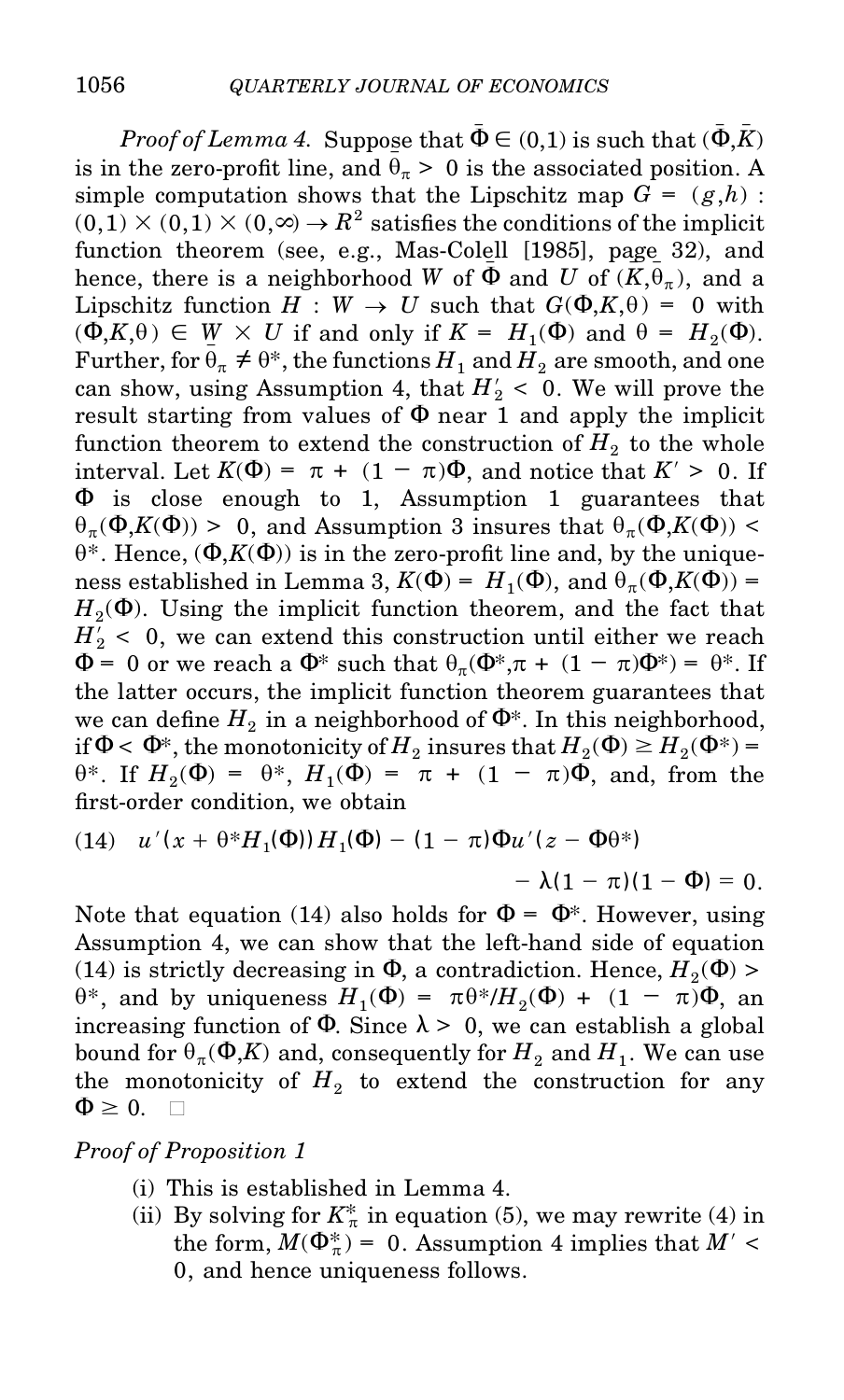$Proof$  *of Lemma 4.* Suppose that  $\bar{\Phi} \in (0,1)$  is such that  $(\bar{\Phi},\bar{K})$ is in the zero-profit line, and  $\bar{\theta}_{\pi} > 0$  is the associated position. A simple computation shows that the Lipschitz map  $G = (g,h)$ :  $(0,1) \times (0,1) \times (0,\infty) \rightarrow R^2$  satisfies the conditions of the implicit function theorem (see, e.g., Mas-Colell [1985], page 32), and hence, there is a neighborhood *W* of  $\bar{\Phi}$  and *U* of  $(\bar{K}, \bar{\theta}_\pi)$ , and a Lipschitz function  $H: W \to U$  such that  $G(\Phi, K, \theta) = 0$  with  $(\Phi, K, \theta) \in \Psi \times U$  if and only if  $K = H_1(\Phi)$  and  $\theta = H_2(\Phi)$ . Further, for  $\bar{\theta}_\pi \neq \theta^*$ , the functions  $H_1$  and  $\bar{H_2}$  are smooth, and one can show, using Assumption 4, that  $H_2$  < 0. We will prove the result starting from values of  $\Phi$  near 1 and apply the implicit function theorem to extend the construction of  $H_2$  to the whole interval. Let  $K(\Phi) = \pi + (1 - \pi)\Phi$ , and notice that  $K' > 0$ . If  $\Phi$  is close enough to 1, Assumption 1 guarantees that  $\theta_{\pi}(\Phi, K(\Phi)) > 0$ , and Assumption 3 insures that  $\theta_{\pi}(\Phi, K(\Phi)) <$  $\theta^*$ . Hence,  $(\Phi, K(\Phi))$  is in the zero-profit line and, by the uniqueness established in Lemma 3,  $K(\Phi) = H_1(\Phi)$ , and  $\theta_\pi(\Phi, K(\Phi)) =$  $H_2(\Phi)$ . Using the implicit function theorem, and the fact that  $H_2$  < 0, we can extend this construction until either we reach  $\Phi = 0$  or we reach a  $\Phi^*$  such that  $\theta_\pi(\Phi^*, \pi + (1 - \pi)\Phi^*) = \theta^*$ . If the latter occurs, the implicit function theorem guarantees that we can define  $H_2$  in a neighborhood of  $\Phi^*$ . In this neighborhood, if  $\Phi$  <  $\Phi^*$ , the monotonicity of  $H_2$  insures that  $H_2(\Phi) \ge H_2(\Phi^*)$  =  $\theta^*$ . If  $H_2(\Phi) = \theta^*$ ,  $H_1(\Phi) = \pi + (1 - \pi)\Phi$ , and, from the first-order condition, we obtain

(14) 
$$
u'(x + \theta^*H_1(\Phi))H_1(\Phi) - (1 - \pi)\Phi u'(z - \Phi\theta^*)
$$

 $-\lambda(1 - \pi)(1 - \Phi) = 0.$ 

Note that equation (14) also holds for  $\Phi = \Phi^*$ . However, using Assumption 4, we can show that the left-hand side of equation (14) is strictly decreasing in  $\Phi$ , a contradiction. Hence,  $H_2(\Phi)$  >  $\theta^*$ , and by uniqueness  $H_1(\Phi) = \pi \theta^* / H_2(\Phi) + (1 - \pi) \Phi$ , an increasing function of  $\Phi$ . Since  $\lambda > 0$ , we can establish a global bound for  $\theta_\pi(\Phi, K)$  and, consequently for  $H_2$  and  $H_1.$  We can use the monotonicity of  $H_2$  to extend the construction for any  $\Phi \geq 0$ .  $\Phi \geq 0$ .

## *Proof of Proposition 1*

- (i) This is established in Lemma 4.
- (ii) By solving for  $K^*_\pi$  in equation (5), we may rewrite (4) in the form,  $M(\Phi_{\pi}^*) = 0$ . Assumption 4 implies that  $M' <$ 0, and hence uniqueness follows.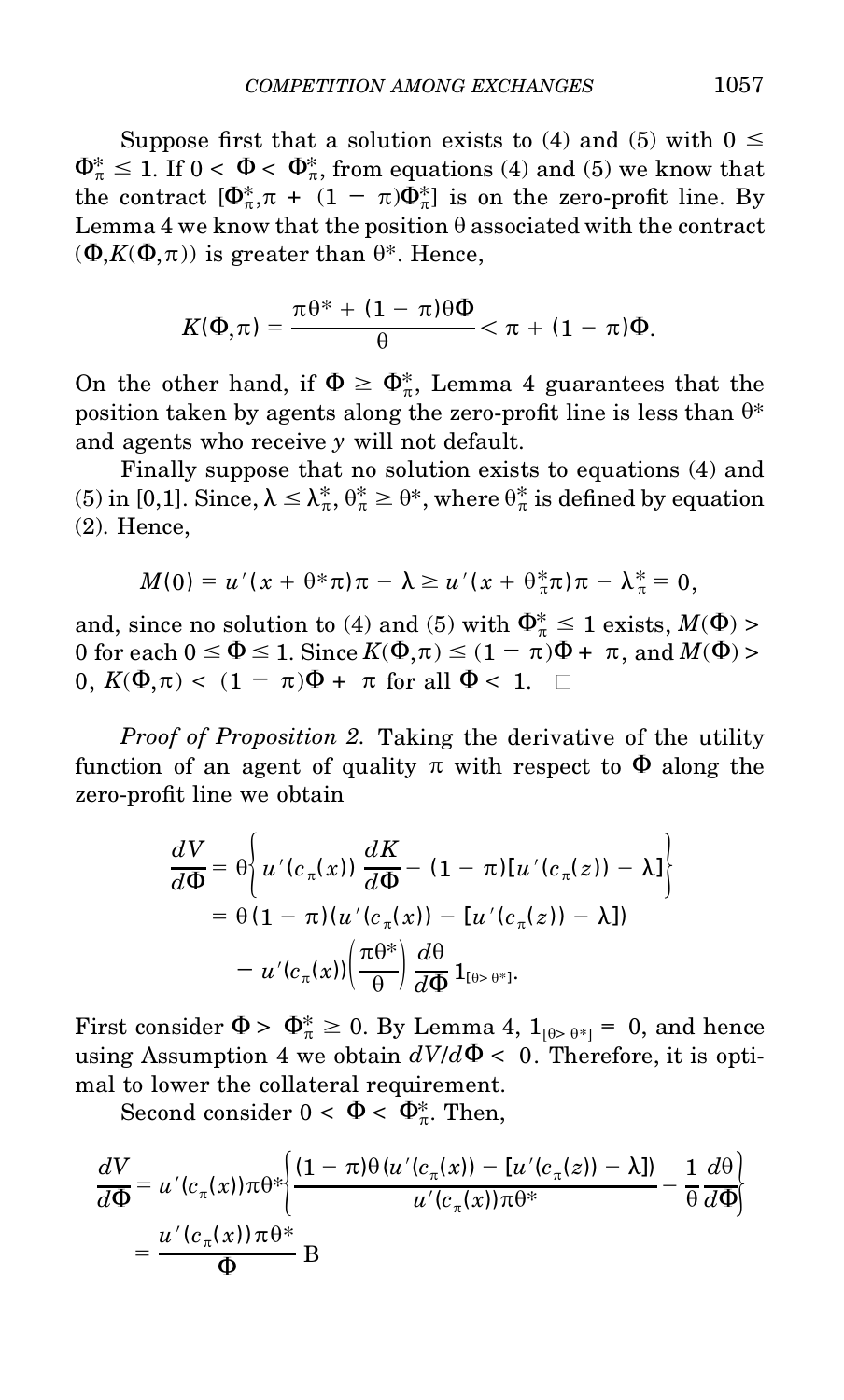Suppose first that a solution exists to (4) and (5) with  $0 \le$  $\Phi^*_{\pi} \leq 1$ . If  $0 < \Phi < \Phi^*_{\pi}$ , from equations (4) and (5) we know that the contract  $[\Phi^*_{\pi}, \pi + (1 - \pi)\Phi^*_{\pi}]$  is on the zero-profit line. By Lemma 4 we know that the position  $\theta$  associated with the contract  $(\Phi,K(\Phi,\pi))$  is greater than  $\theta^*$ . Hence,

$$
K(\Phi,\pi)=\frac{\pi\theta^*+(1-\pi)\theta\Phi}{\theta}<\pi+(1-\pi)\Phi.
$$

On the other hand, if  $\Phi \geq \Phi_{\pi}^*$ , Lemma 4 guarantees that the position taken by agents along the zero-profit line is less than  $\theta^*$ and agents who receive *y* will not default.

Finally suppose that no solution exists to equations (4) and (5) in [0,1]. Since,  $\lambda \leq \lambda^*_{\pi}, \theta^*_{\pi} \geq \theta^*$ , where  $\theta^*_{\pi}$  is defined by equation (2). Hence,

$$
M(0) = u'(x + \theta^* \pi) \pi - \lambda \geq u'(x + \theta^*_{\pi} \pi) \pi - \lambda^*_{\pi} = 0,
$$

and, since no solution to (4) and (5) with  $\Phi_{\pi}^* \leq 1$  exists,  $M(\Phi)$  > 0 for each  $0 \le \Phi \le 1$ . Since  $K(\Phi, \pi) \le (1 - \pi)\Phi + \pi$ , and  $M(\Phi)$  $0, K(\Phi, \pi) < (1 - \pi)\Phi + \pi$  for all  $\Phi < 1$ .

*Proof of Proposition 2.* Taking the derivative of the utility function of an agent of quality  $\pi$  with respect to  $\Phi$  along the zero-profit line we obtain

$$
\frac{dV}{d\Phi} = \theta \bigg\{ u'(c_{\pi}(x)) \frac{dK}{d\Phi} - (1 - \pi)[u'(c_{\pi}(z)) - \lambda] \bigg\}\n= \theta (1 - \pi)(u'(c_{\pi}(x)) - [u'(c_{\pi}(z)) - \lambda])\n= u'(c_{\pi}(x)) \bigg( \frac{\pi \theta^*}{\theta} \bigg) \frac{d\theta}{d\Phi} 1_{[\theta > \theta^*]}.
$$

First consider  $\Phi > \Phi_{\pi}^* \ge 0$ . By Lemma 4,  $1_{\{\theta > \theta^*\}} = 0$ , and hence using Assumption 4 we obtain  $dV/d\Phi < 0$ . Therefore, it is optimal to lower the collateral requirement.

Second consider  $0 < \Phi < \Phi_{\pi}^*$ . Then,

$$
\frac{dV}{d\Phi} = u'(c_{\pi}(x))\pi\theta^* \left\{ \frac{(1-\pi)\theta(u'(c_{\pi}(x)) - [u'(c_{\pi}(z)) - \lambda])}{u'(c_{\pi}(x))\pi\theta^*} - \frac{1}{\theta} \frac{d\theta}{d\Phi} \right\}
$$
\n
$$
= \frac{u'(c_{\pi}(x))\pi\theta^*}{\Phi} B
$$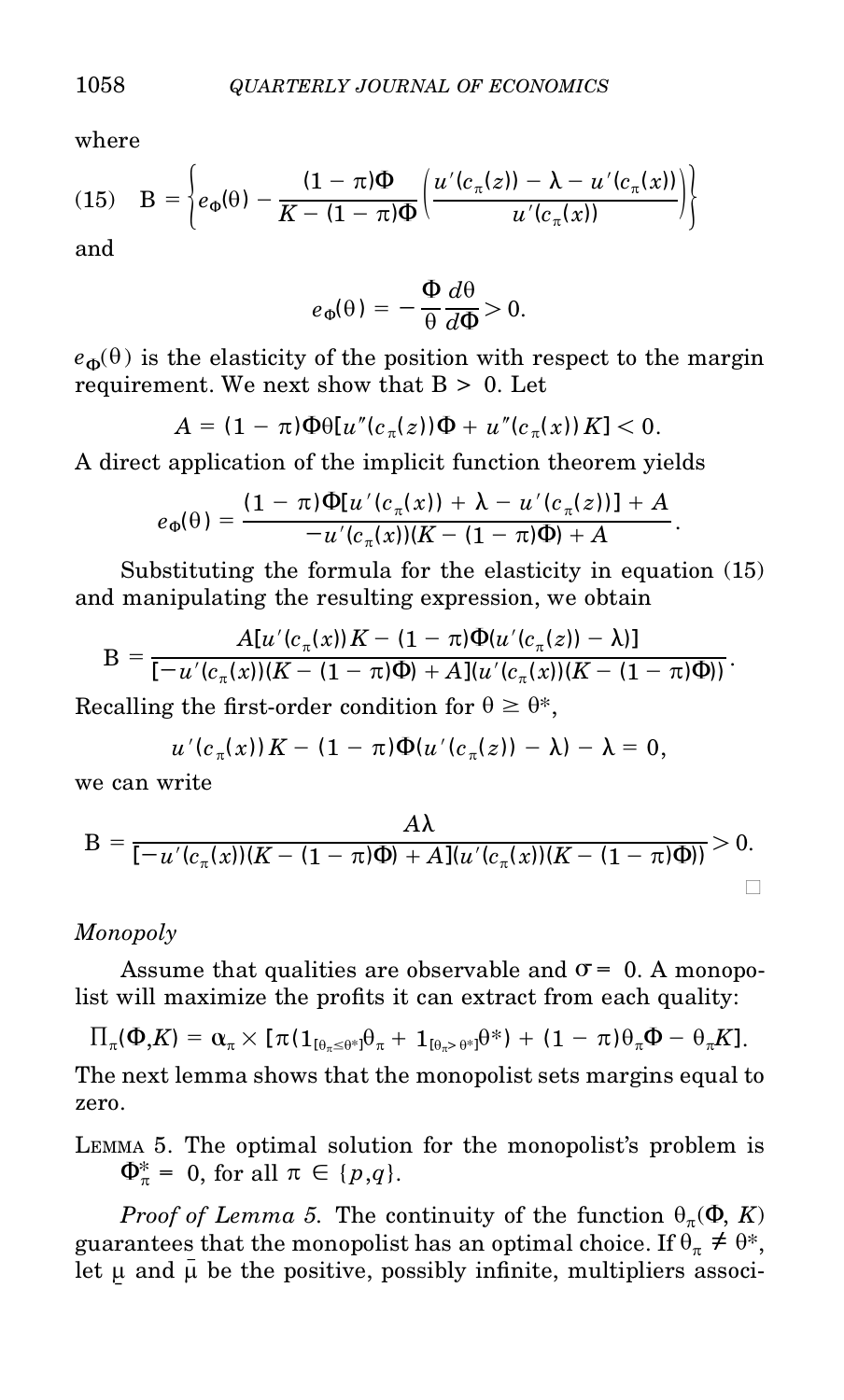where

$$
(15) \quad \mathbf{B} = \left\{ e_{\Phi}(\theta) - \frac{(1-\pi)\Phi}{K - (1-\pi)\Phi} \left( \frac{u'(c_{\pi}(z)) - \lambda - u'(c_{\pi}(x))}{u'(c_{\pi}(x))} \right) \right\}
$$

and

$$
e_{\Phi}(\theta) = -\frac{\Phi}{\theta} \frac{d\theta}{d\Phi} > 0.
$$

 $e_{\mathbf{0}}(\theta)$  is the elasticity of the position with respect to the margin requirement. We next show that  $B > 0$ . Let

$$
A = (1 - \pi) \Phi \Theta[u''(c_{\pi}(z)) \Phi + u''(c_{\pi}(x)) K] < 0.
$$

A direct application of the implicit function theorem yields

$$
e_{\Phi}(\theta) = \frac{(1 - \pi)\Phi[u'(c_{\pi}(x)) + \lambda - u'(c_{\pi}(z))] + A}{-u'(c_{\pi}(x))(K - (1 - \pi)\Phi) + A}.
$$

.

Substituting the formula for the elasticity in equation (15) and manipulating the resulting expression, we obtain

$$
B = \frac{A[u'(c_{\pi}(x))K - (1 - \pi)\Phi(u'(c_{\pi}(z)) - \lambda)]}{[-u'(c_{\pi}(x))(K - (1 - \pi)\Phi) + A](u'(c_{\pi}(x))(K - (1 - \pi)\Phi))}.
$$

Recalling the first-order condition for  $\theta \geq \theta^*$ ,

$$
u'(c_{\pi}(x)) K - (1-\pi) \Phi(u'(c_{\pi}(z)) - \lambda) - \lambda = 0,
$$

we can write

$$
B = \frac{A\lambda}{[-u'(c_{\pi}(x))(K - (1 - \pi)\Phi) + A](u'(c_{\pi}(x))(K - (1 - \pi)\Phi))} > 0.
$$

### *Monopoly*

Assume that qualities are observable and  $\sigma = 0$ . A monopolist will maximize the profits it can extract from each quality:

 $\Pi_\pi(\Phi, K) \,=\, \alpha_{\pi} \times \, [\, \pi \,( \,1_{[\![\theta_\pi \leq \theta^*]}\theta_\pi \,+\, \,1_{[\![\theta_\pi > \, \theta^*]}\theta^*) \,+\, (\,1 \,-\, \pi \,)\theta_\pi \Phi - \,\theta_\pi K ] \, .$ 

The next lemma shows that the monopolist sets margins equal to zero.

LEMMA 5. The optimal solution for the monopolist's problem is  $\Phi_{\pi}^* = 0$ , for all  $\pi \in \{ p,q \}.$ 

*Proof of Lemma 5.* The continuity of the function  $\theta_{\pi}(\Phi, K)$ guarantees that the monopolist has an optimal choice. If  $\theta_{\pi} \neq \theta^*$ , let  $\mu$  and  $\bar{\mu}$  be the positive, possibly infinite, multipliers associ-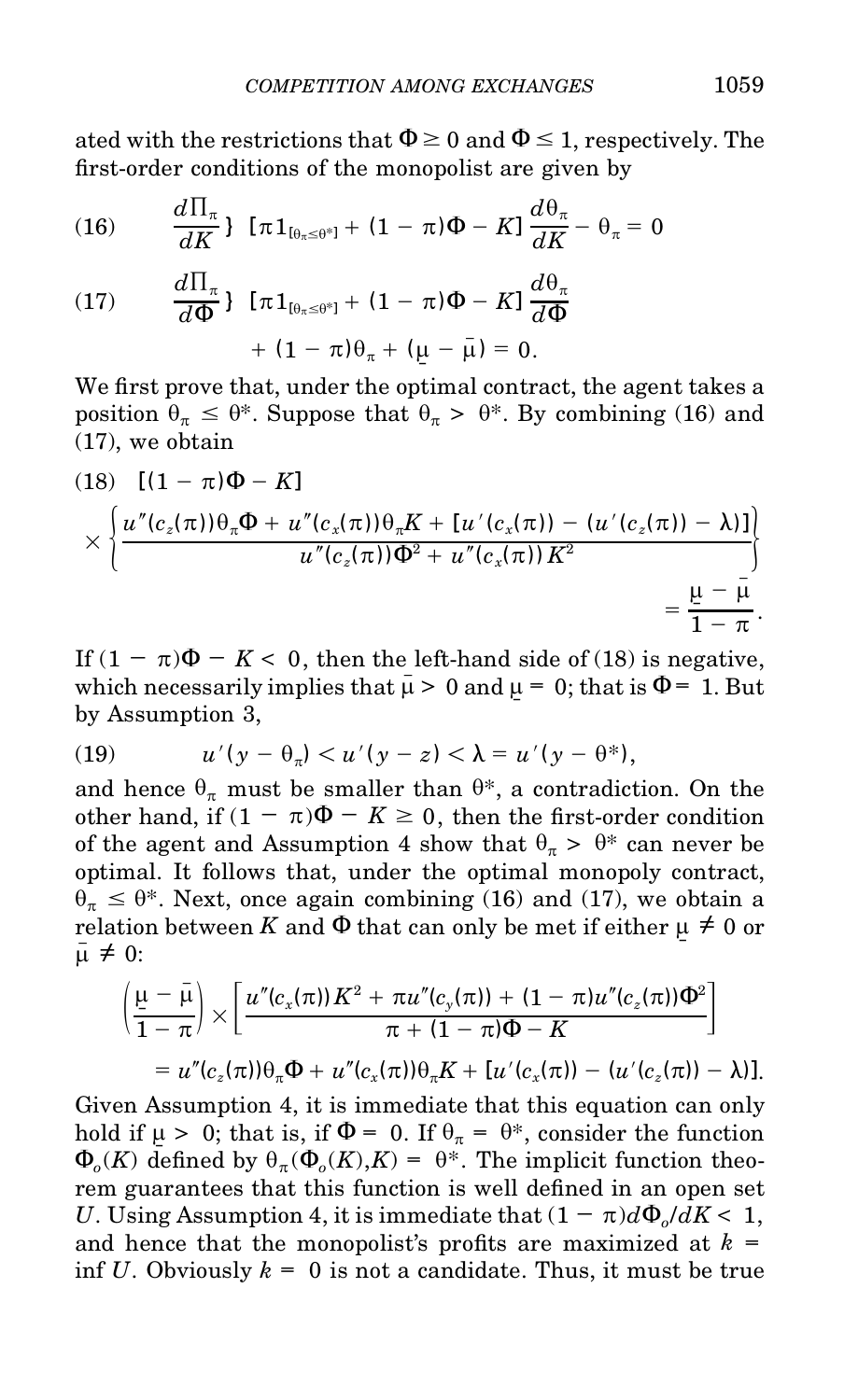ated with the restrictions that  $\Phi \geq 0$  and  $\Phi \leq 1$ , respectively. The first-order conditions of the monopolist are given by

$$
(16) \qquad \frac{d\Pi_{\pi}}{dK}\} \left[\pi 1_{\left[\theta_{\pi}\leq\theta^{*}\right]}+(1-\pi)\Phi-K\right]\frac{d\theta_{\pi}}{dK}-\theta_{\pi}=0
$$

$$
(17) \qquad \frac{d\Pi_{\pi}}{d\Phi}\} \quad [\pi 1_{\left[\theta_{\pi}\leq\theta^{*}\right]} + (1-\pi)\Phi - K] \frac{d\theta_{\pi}}{d\Phi} + (1-\pi)\theta_{\pi} + (\mu - \bar{\mu}) = 0.
$$

We first prove that, under the optimal contract, the agent takes a position  $\theta_{\pi} \leq \theta^*$ . Suppose that  $\theta_{\pi} > \theta^*$ . By combining (16) and (17), we obtain

(18) 
$$
\left[ (1 - \pi) \Phi - K \right] \times \left\{ \frac{u''(c_z(\pi)) \Theta_{\pi} \Phi + u''(c_x(\pi)) \Theta_{\pi} K + [u'(c_x(\pi)) - (u'(c_z(\pi)) - \lambda)]}{u''(c_z(\pi)) \Phi^2 + u''(c_x(\pi)) K^2} \right\} \\ = \frac{\mu - \bar{\mu}}{1 - \pi}.
$$

If  $(1 - \pi)\Phi - K < 0$ , then the left-hand side of (18) is negative, which necessarily implies that  $\bar{\mu} > 0$  and  $\mu = 0$ ; that is  $\Phi = 1$ . But by Assumption 3,

(19) 
$$
u'(y - \theta_{\pi}) < u'(y - z) < \lambda = u'(y - \theta^*),
$$

and hence  $\theta_{\pi}$  must be smaller than  $\theta^*$ , a contradiction. On the other hand, if  $(1 - \pi)\Phi - K \ge 0$ , then the first-order condition of the agent and Assumption 4 show that  $\theta_{\pi} > \theta^*$  can never be optimal. It follows that, under the optimal monopoly contract,  $\theta_{\pi} \leq \theta^*$ . Next, once again combining (16) and (17), we obtain a relation between *K* and  $\Phi$  that can only be met if either  $\mu \neq 0$  or  $\bar{\mu} \neq 0$ :

$$
\left(\frac{\mu-\bar{\mu}}{1-\pi}\right) \times \left[\frac{u''(c_x(\pi))K^2 + \pi u''(c_y(\pi)) + (1-\pi)u''(c_z(\pi))\Phi^2}{\pi + (1-\pi)\Phi - K}\right]
$$
  
=  $u''(c_z(\pi))\theta_{\pi}\Phi + u''(c_x(\pi))\theta_{\pi}K + [u'(c_x(\pi)) - (u'(c_z(\pi)) - \lambda)].$ 

Given Assumption 4, it is immediate that this equation can only hold if  $\mu > 0$ ; that is, if  $\Phi = 0$ . If  $\theta_{\pi} = \theta^*$ , consider the function  $\Phi_o(K)$  defined by  $\Theta_\pi(\Phi_o(K), K) = \Theta^*$ . The implicit function theorem guarantees that this function is well defined in an open set *U*. Using Assumption 4, it is immediate that  $(1 - \pi)d\Phi_o/dK < 1$ , and hence that the monopolist's profits are maximized at  $k =$ inf *U*. Obviously  $k = 0$  is not a candidate. Thus, it must be true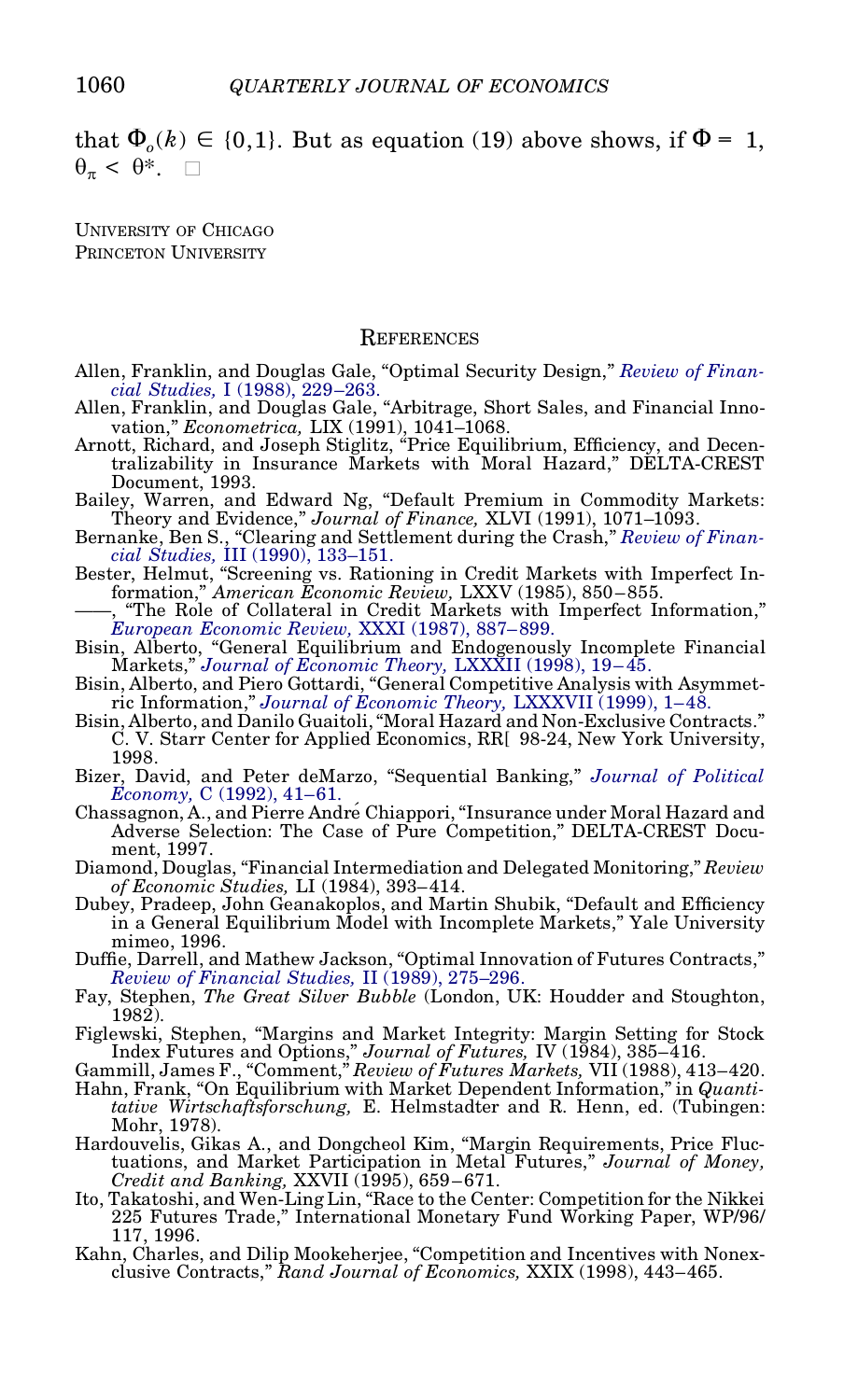that  $\Phi_{0}(k) \in \{0,1\}$ . But as equation (19) above shows, if  $\Phi = 1$ ,  $\theta_{\pi} < \theta^*$ .  $\Box$ 

UNIVERSITY OF CHICAGO PRINCETON UNIVERSITY

#### **REFERENCES**

- Allen, Franklin, and Douglas Gale, "Optimal Security Design," *[Review](http://dandini.ingentaselect.com/nw=1/rpsv/cgi-bin/linker?ext=a&reqidx=/0893-9454^281988^291L.229[aid=1510717]) of Finan-*
- *cial Studies,* I (1988), [229–263.](http://dandini.ingentaselect.com/nw=1/rpsv/cgi-bin/linker?ext=a&reqidx=/0893-9454^281988^291L.229[aid=1510717]) Allen, Franklin, and Douglas Gale, "Arbitrage, Short Sales, and Financial Inno-
- vation," *Econometrica*, LIX (1991), 1041–1068.<br>Arnott, Richard, and Joseph Stiglitz, "Price Equilibrium, Efficiency, and Decentralizability in Insurance Markets with Moral Hazard," DELTA-CREST Document, 1993.
- Bailey, Warren, and Edward Ng, "Default Premium in Commodity Markets: Theory and Evidence," *Journal of Finance,* XLVI (1991), 1071–1093.
- Bernanke, Ben S., "Clearing and Settlement during the Crash," *[Review](http://dandini.ingentaselect.com/nw=1/rpsv/cgi-bin/linker?ext=a&reqidx=/0893-9454^281990^293L.133[aid=1510720]) of Financial Studies,* III (1990), [133–151.](http://dandini.ingentaselect.com/nw=1/rpsv/cgi-bin/linker?ext=a&reqidx=/0893-9454^281990^293L.133[aid=1510720]) Bester, Helmut, "Screening vs. Rationing in Credit Markets with Imperfect In-
- formation," *American Economic Review*, LXXV (1985), 850–855.<br>-, "The Role of Collateral in Credit Markets with Imperfect Information,"
- *[European](http://dandini.ingentaselect.com/nw=1/rpsv/cgi-bin/linker?ext=a&reqidx=/0014-2921^281987^2931L.887[aid=848341]) Economic Review,* XXXI (1987), 887–899.
- Bisin, Alberto, "General Equilibrium and Endogenously Incomplete Financial Markets," *Journal of [Economic](http://dandini.ingentaselect.com/nw=1/rpsv/cgi-bin/linker?ext=a&reqidx=/0022-0531^281998^2982L.19[aid=1510721]) Theory,* LXXXII (1998), 19– 45.
- Bisin, Alberto, and Piero Gottardi, "General Competitive Analysis with Asymmetric Information," *Journal of [Economic](http://dandini.ingentaselect.com/nw=1/rpsv/cgi-bin/linker?ext=a&reqidx=/0022-0531^281999^2987L.1[aid=1510722]) Theory,* LXXXVII (1999), 1–48. Bisin, Alberto, and Danilo Guaitoli,"Moral Hazard and Non-Exclusive Contracts."
- C. V. Starr Center for Applied Economics, RR[ 98-24, New York University, 1998.
- Bizer, David, and Peter deMarzo, "Sequential Banking," *Journal of [Political](http://dandini.ingentaselect.com/nw=1/rpsv/cgi-bin/linker?ext=a&reqidx=/0022-3808^281992^29100L.41[aid=1510723]) [Economy,](http://dandini.ingentaselect.com/nw=1/rpsv/cgi-bin/linker?ext=a&reqidx=/0022-3808^281992^29100L.41[aid=1510723])* C (1992), 41–61.
- Chassagnon, A., and Pierre Andre´ Chiappori, "Insurance under Moral Hazard and Adverse Selection: The Case of Pure Competition," DELTA-CREST Document, 1997.
- Diamond, Douglas, "Financial Intermediation and Delegated Monitoring," *Review of Economic Studies,* LI (1984), 393–414.
- Dubey, Pradeep, John Geanakoplos, and Martin Shubik, "Default and Efficiency in a General Equilibrium Model with Incomplete Markets," Yale University mimeo, 1996.
- Duffie, Darrell, and Mathew Jackson, "Optimal Innovation of Futures Contracts,"
- *Review of [Financial](http://dandini.ingentaselect.com/nw=1/rpsv/cgi-bin/linker?ext=a&reqidx=/0893-9454^281989^292L.275[aid=1510724]) Studies,* II (1989), 275–296. Fay, Stephen, *The Great Silver Bubble* (London, UK: Houdder and Stoughton, 1982).
- Figlewski, Stephen, "Margins and Market Integrity: Margin Setting for Stock<br>Index Futures and Options," Journal of Futures, IV (1984), 385–416.<br>Gammill, James F., "Comment," *Review of Futures Markets*, VII (1988), 413–420
- 
- Hahn, Frank, "On Equilibrium with Market Dependent Information," in *Quanti-tative Wirtschaftsforschung,* E. Helmstadter and R. Henn, ed. (Tubingen: Mohr, 1978).
- Hardouvelis, Gikas A., and Dongcheol Kim, "Margin Requirements, Price Fluc-tuations, and Market Participation in Metal Futures," *Journal of Money, Credit and Banking,* XXVII (1995), 659–671.
- Ito, Takatoshi, and Wen-Ling Lin, "Race to the Center: Competition for the Nikkei 225 Futures Trade," International Monetary Fund Working Paper, WP/96/ 117, 1996.
- Kahn, Charles, and Dilip Mookeherjee, "Competition and Incentives with Nonexclusive Contracts," *Rand Journal of Economics,* XXIX (1998), 443–465.